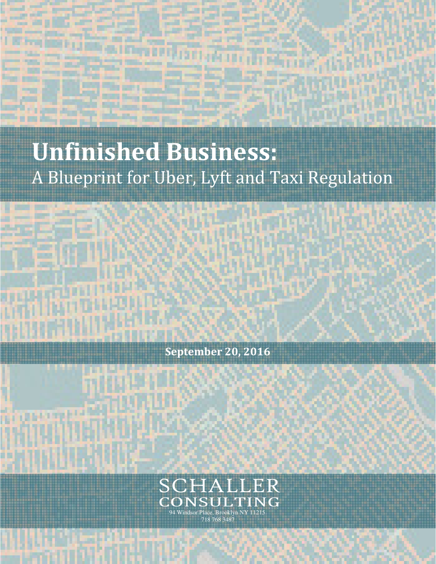# **Unfinished Business:**  A Blueprint for Uber, Lyft and Taxi Regulation

UNISHED BUSINESS: A BLUEP REGULATION CONTINUES IN THE CONTINUES OF THE CONTINUES OF THE CONTINUES OF THE CONTINUES OF



**September 20, 2016** 



SCHALLER CONSULTING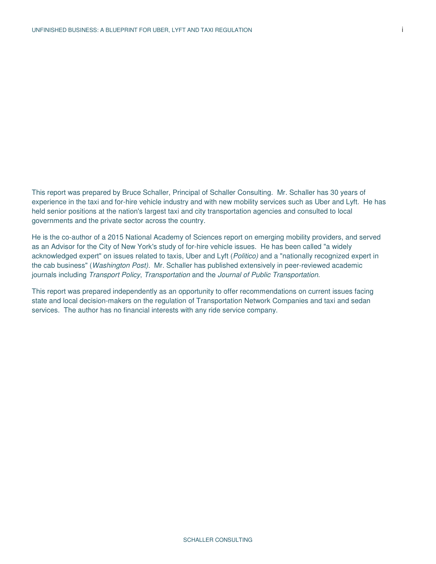This report was prepared by Bruce Schaller, Principal of Schaller Consulting. Mr. Schaller has 30 years of experience in the taxi and for-hire vehicle industry and with new mobility services such as Uber and Lyft. He has held senior positions at the nation's largest taxi and city transportation agencies and consulted to local governments and the private sector across the country.

He is the co-author of a 2015 National Academy of Sciences report on emerging mobility providers, and served as an Advisor for the City of New York's study of for-hire vehicle issues. He has been called "a widely acknowledged expert" on issues related to taxis, Uber and Lyft (Politico) and a "nationally recognized expert in the cab business" (Washington Post). Mr. Schaller has published extensively in peer-reviewed academic journals including Transport Policy, Transportation and the Journal of Public Transportation.

This report was prepared independently as an opportunity to offer recommendations on current issues facing state and local decision-makers on the regulation of Transportation Network Companies and taxi and sedan services. The author has no financial interests with any ride service company.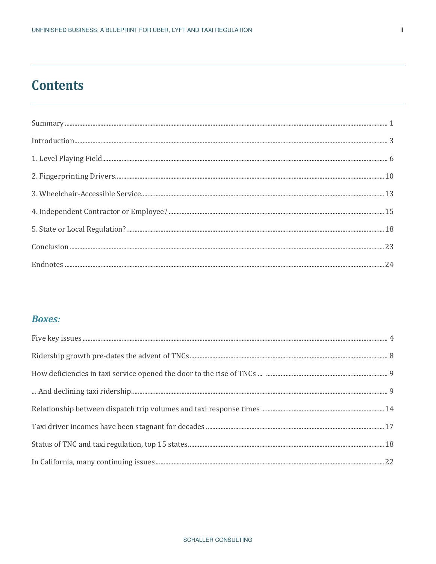# **Contents**

| $\label{eq:1} Introduction 3$ |  |
|-------------------------------|--|
|                               |  |
|                               |  |
|                               |  |
|                               |  |
|                               |  |
|                               |  |
|                               |  |

### **Boxes:**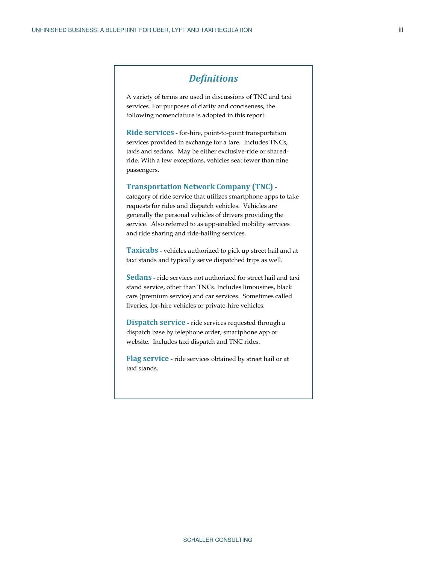### *Definitions*

A variety of terms are used in discussions of TNC and taxi services. For purposes of clarity and conciseness, the following nomenclature is adopted in this report:

**Ride services** - for-hire, point-to-point transportation services provided in exchange for a fare. Includes TNCs, taxis and sedans. May be either exclusive-ride or sharedride. With a few exceptions, vehicles seat fewer than nine passengers.

#### **Transportation Network Company (TNC)** -

category of ride service that utilizes smartphone apps to take requests for rides and dispatch vehicles. Vehicles are generally the personal vehicles of drivers providing the service. Also referred to as app-enabled mobility services and ride sharing and ride-hailing services.

**Taxicabs** - vehicles authorized to pick up street hail and at taxi stands and typically serve dispatched trips as well.

**Sedans** - ride services not authorized for street hail and taxi stand service, other than TNCs. Includes limousines, black cars (premium service) and car services. Sometimes called liveries, for-hire vehicles or private-hire vehicles.

**Dispatch service** - ride services requested through a dispatch base by telephone order, smartphone app or website. Includes taxi dispatch and TNC rides.

**Flag service** - ride services obtained by street hail or at taxi stands.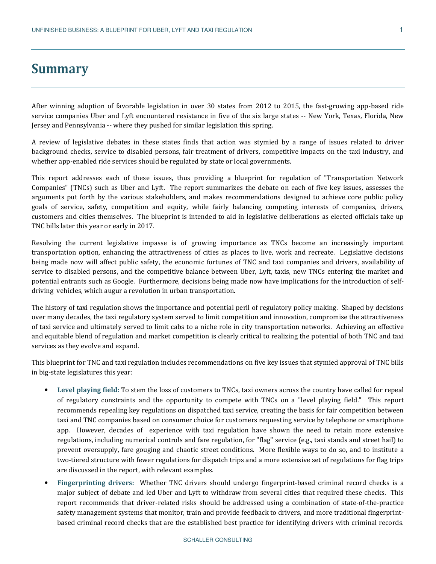### **Summary**

After winning adoption of favorable legislation in over 30 states from 2012 to 2015, the fast-growing app-based ride service companies Uber and Lyft encountered resistance in five of the six large states -- New York, Texas, Florida, New Jersey and Pennsylvania -- where they pushed for similar legislation this spring.

A review of legislative debates in these states finds that action was stymied by a range of issues related to driver background checks, service to disabled persons, fair treatment of drivers, competitive impacts on the taxi industry, and whether app-enabled ride services should be regulated by state or local governments.

This report addresses each of these issues, thus providing a blueprint for regulation of "Transportation Network Companies" (TNCs) such as Uber and Lyft. The report summarizes the debate on each of five key issues, assesses the arguments put forth by the various stakeholders, and makes recommendations designed to achieve core public policy goals of service, safety, competition and equity, while fairly balancing competing interests of companies, drivers, customers and cities themselves. The blueprint is intended to aid in legislative deliberations as elected officials take up TNC bills later this year or early in 2017.

Resolving the current legislative impasse is of growing importance as TNCs become an increasingly important transportation option, enhancing the attractiveness of cities as places to live, work and recreate. Legislative decisions being made now will affect public safety, the economic fortunes of TNC and taxi companies and drivers, availability of service to disabled persons, and the competitive balance between Uber, Lyft, taxis, new TNCs entering the market and potential entrants such as Google. Furthermore, decisions being made now have implications for the introduction of selfdriving vehicles, which augur a revolution in urban transportation.

The history of taxi regulation shows the importance and potential peril of regulatory policy making. Shaped by decisions over many decades, the taxi regulatory system served to limit competition and innovation, compromise the attractiveness of taxi service and ultimately served to limit cabs to a niche role in city transportation networks. Achieving an effective and equitable blend of regulation and market competition is clearly critical to realizing the potential of both TNC and taxi services as they evolve and expand.

This blueprint for TNC and taxi regulation includes recommendations on five key issues that stymied approval of TNC bills in big-state legislatures this year:

- **Level playing field:** To stem the loss of customers to TNCs, taxi owners across the country have called for repeal of regulatory constraints and the opportunity to compete with TNCs on a "level playing field." This report recommends repealing key regulations on dispatched taxi service, creating the basis for fair competition between taxi and TNC companies based on consumer choice for customers requesting service by telephone or smartphone app. However, decades of experience with taxi regulation have shown the need to retain more extensive regulations, including numerical controls and fare regulation, for "flag" service (e.g., taxi stands and street hail) to prevent oversupply, fare gouging and chaotic street conditions. More flexible ways to do so, and to institute a two-tiered structure with fewer regulations for dispatch trips and a more extensive set of regulations for flag trips are discussed in the report, with relevant examples.
- **Fingerprinting drivers:** Whether TNC drivers should undergo fingerprint-based criminal record checks is a major subject of debate and led Uber and Lyft to withdraw from several cities that required these checks. This report recommends that driver-related risks should be addressed using a combination of state-of-the-practice safety management systems that monitor, train and provide feedback to drivers, and more traditional fingerprintbased criminal record checks that are the established best practice for identifying drivers with criminal records.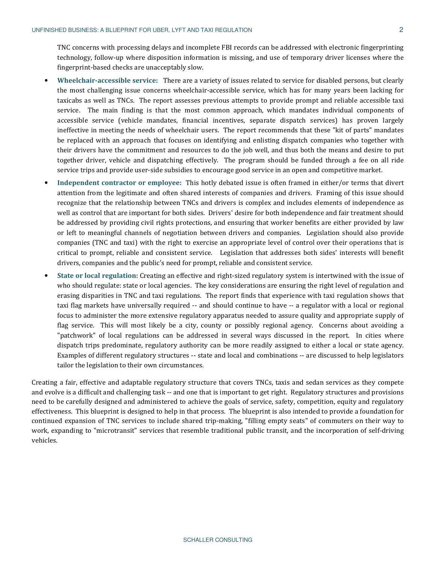TNC concerns with processing delays and incomplete FBI records can be addressed with electronic fingerprinting technology, follow-up where disposition information is missing, and use of temporary driver licenses where the fingerprint-based checks are unacceptably slow.

- **Wheelchair-accessible service:** There are a variety of issues related to service for disabled persons, but clearly the most challenging issue concerns wheelchair-accessible service, which has for many years been lacking for taxicabs as well as TNCs. The report assesses previous attempts to provide prompt and reliable accessible taxi service. The main finding is that the most common approach, which mandates individual components of accessible service (vehicle mandates, financial incentives, separate dispatch services) has proven largely ineffective in meeting the needs of wheelchair users. The report recommends that these "kit of parts" mandates be replaced with an approach that focuses on identifying and enlisting dispatch companies who together with their drivers have the commitment and resources to do the job well, and thus both the means and desire to put together driver, vehicle and dispatching effectively. The program should be funded through a fee on all ride service trips and provide user-side subsidies to encourage good service in an open and competitive market.
- **Independent contractor or employee:** This hotly debated issue is often framed in either/or terms that divert attention from the legitimate and often shared interests of companies and drivers. Framing of this issue should recognize that the relationship between TNCs and drivers is complex and includes elements of independence as well as control that are important for both sides. Drivers' desire for both independence and fair treatment should be addressed by providing civil rights protections, and ensuring that worker benefits are either provided by law or left to meaningful channels of negotiation between drivers and companies. Legislation should also provide companies (TNC and taxi) with the right to exercise an appropriate level of control over their operations that is critical to prompt, reliable and consistent service. Legislation that addresses both sides' interests will benefit drivers, companies and the public's need for prompt, reliable and consistent service.
- **State or local regulation:** Creating an effective and right-sized regulatory system is intertwined with the issue of who should regulate: state or local agencies. The key considerations are ensuring the right level of regulation and erasing disparities in TNC and taxi regulations. The report finds that experience with taxi regulation shows that taxi flag markets have universally required -- and should continue to have -- a regulator with a local or regional focus to administer the more extensive regulatory apparatus needed to assure quality and appropriate supply of flag service. This will most likely be a city, county or possibly regional agency. Concerns about avoiding a "patchwork" of local regulations can be addressed in several ways discussed in the report. In cities where dispatch trips predominate, regulatory authority can be more readily assigned to either a local or state agency. Examples of different regulatory structures -- state and local and combinations -- are discussed to help legislators tailor the legislation to their own circumstances.

Creating a fair, effective and adaptable regulatory structure that covers TNCs, taxis and sedan services as they compete and evolve is a difficult and challenging task -- and one that is important to get right. Regulatory structures and provisions need to be carefully designed and administered to achieve the goals of service, safety, competition, equity and regulatory effectiveness. This blueprint is designed to help in that process. The blueprint is also intended to provide a foundation for continued expansion of TNC services to include shared trip-making, "filling empty seats" of commuters on their way to work, expanding to "microtransit" services that resemble traditional public transit, and the incorporation of self-driving vehicles.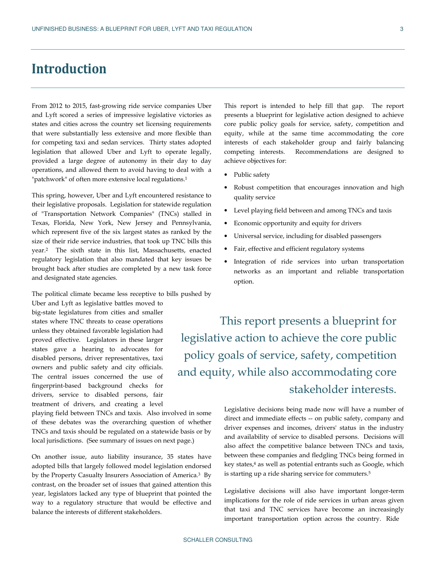# **Introduction**

From 2012 to 2015, fast-growing ride service companies Uber and Lyft scored a series of impressive legislative victories as states and cities across the country set licensing requirements that were substantially less extensive and more flexible than for competing taxi and sedan services. Thirty states adopted legislation that allowed Uber and Lyft to operate legally, provided a large degree of autonomy in their day to day operations, and allowed them to avoid having to deal with a "patchwork" of often more extensive local regulations.<sup>1</sup>

This spring, however, Uber and Lyft encountered resistance to their legislative proposals. Legislation for statewide regulation of "Transportation Network Companies" (TNCs) stalled in Texas, Florida, New York, New Jersey and Pennsylvania, which represent five of the six largest states as ranked by the size of their ride service industries, that took up TNC bills this year.2 The sixth state in this list, Massachusetts, enacted regulatory legislation that also mandated that key issues be brought back after studies are completed by a new task force and designated state agencies.

The political climate became less receptive to bills pushed by

Uber and Lyft as legislative battles moved to big-state legislatures from cities and smaller states where TNC threats to cease operations unless they obtained favorable legislation had proved effective. Legislators in these larger states gave a hearing to advocates for disabled persons, driver representatives, taxi owners and public safety and city officials. The central issues concerned the use of fingerprint-based background checks for drivers, service to disabled persons, fair treatment of drivers, and creating a level

playing field between TNCs and taxis. Also involved in some of these debates was the overarching question of whether TNCs and taxis should be regulated on a statewide basis or by local jurisdictions. (See summary of issues on next page.)

On another issue, auto liability insurance, 35 states have adopted bills that largely followed model legislation endorsed by the Property Casualty Insurers Association of America.3 By contrast, on the broader set of issues that gained attention this year, legislators lacked any type of blueprint that pointed the way to a regulatory structure that would be effective and balance the interests of different stakeholders.

This report is intended to help fill that gap. The report presents a blueprint for legislative action designed to achieve core public policy goals for service, safety, competition and equity, while at the same time accommodating the core interests of each stakeholder group and fairly balancing competing interests. Recommendations are designed to achieve objectives for:

- Public safety
- Robust competition that encourages innovation and high quality service
- Level playing field between and among TNCs and taxis
- Economic opportunity and equity for drivers
- Universal service, including for disabled passengers
- Fair, effective and efficient regulatory systems
- Integration of ride services into urban transportation networks as an important and reliable transportation option.

This report presents a blueprint for legislative action to achieve the core public policy goals of service, safety, competition and equity, while also accommodating core stakeholder interests.

> Legislative decisions being made now will have a number of direct and immediate effects -- on public safety, company and driver expenses and incomes, drivers' status in the industry and availability of service to disabled persons. Decisions will also affect the competitive balance between TNCs and taxis, between these companies and fledgling TNCs being formed in key states,<sup>4</sup> as well as potential entrants such as Google, which is starting up a ride sharing service for commuters. 5

> Legislative decisions will also have important longer-term implications for the role of ride services in urban areas given that taxi and TNC services have become an increasingly important transportation option across the country. Ride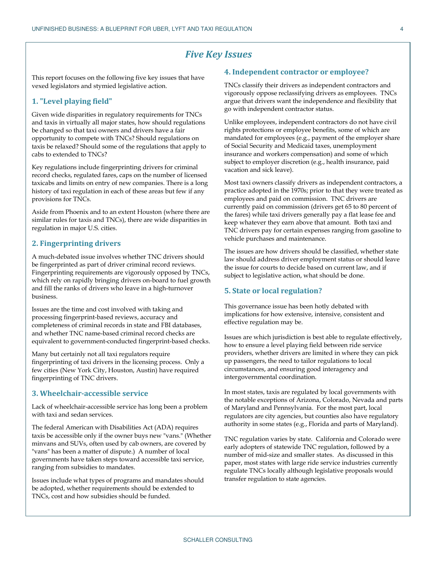### *Five Key Issues*

This report focuses on the following five key issues that have vexed legislators and stymied legislative action.

#### **1. "Level playing field"**

Given wide disparities in regulatory requirements for TNCs and taxis in virtually all major states, how should regulations be changed so that taxi owners and drivers have a fair opportunity to compete with TNCs? Should regulations on taxis be relaxed? Should some of the regulations that apply to cabs to extended to TNCs?

Key regulations include fingerprinting drivers for criminal record checks, regulated fares, caps on the number of licensed taxicabs and limits on entry of new companies. There is a long history of taxi regulation in each of these areas but few if any provisions for TNCs.

Aside from Phoenix and to an extent Houston (where there are similar rules for taxis and TNCs), there are wide disparities in regulation in major U.S. cities.

#### **2. Fingerprinting drivers**

A much-debated issue involves whether TNC drivers should be fingerprinted as part of driver criminal record reviews. Fingerprinting requirements are vigorously opposed by TNCs, which rely on rapidly bringing drivers on-board to fuel growth and fill the ranks of drivers who leave in a high-turnover business.

Issues are the time and cost involved with taking and processing fingerprint-based reviews, accuracy and completeness of criminal records in state and FBI databases, and whether TNC name-based criminal record checks are equivalent to government-conducted fingerprint-based checks.

Many but certainly not all taxi regulators require fingerprinting of taxi drivers in the licensing process. Only a few cities (New York City, Houston, Austin) have required fingerprinting of TNC drivers.

#### **3. Wheelchair-accessible service**

Lack of wheelchair-accessible service has long been a problem with taxi and sedan services.

The federal American with Disabilities Act (ADA) requires taxis be accessible only if the owner buys new "vans." (Whether minvans and SUVs, often used by cab owners, are covered by "vans" has been a matter of dispute.) A number of local governments have taken steps toward accessible taxi service, ranging from subsidies to mandates.

Issues include what types of programs and mandates should be adopted, whether requirements should be extended to TNCs, cost and how subsidies should be funded.

#### **4. Independent contractor or employee?**

TNCs classify their drivers as independent contractors and vigorously oppose reclassifying drivers as employees. TNCs argue that drivers want the independence and flexibility that go with independent contractor status.

Unlike employees, independent contractors do not have civil rights protections or employee benefits, some of which are mandated for employees (e.g., payment of the employer share of Social Security and Medicaid taxes, unemployment insurance and workers compensation) and some of which subject to employer discretion (e.g., health insurance, paid vacation and sick leave).

Most taxi owners classify drivers as independent contractors, a practice adopted in the 1970s; prior to that they were treated as employees and paid on commission. TNC drivers are currently paid on commission (drivers get 65 to 80 percent of the fares) while taxi drivers generally pay a flat lease fee and keep whatever they earn above that amount. Both taxi and TNC drivers pay for certain expenses ranging from gasoline to vehicle purchases and maintenance.

The issues are how drivers should be classified, whether state law should address driver employment status or should leave the issue for courts to decide based on current law, and if subject to legislative action, what should be done.

#### **5. State or local regulation?**

This governance issue has been hotly debated with implications for how extensive, intensive, consistent and effective regulation may be.

Issues are which jurisdiction is best able to regulate effectively, how to ensure a level playing field between ride service providers, whether drivers are limited in where they can pick up passengers, the need to tailor regulations to local circumstances, and ensuring good interagency and intergovernmental coordination.

In most states, taxis are regulated by local governments with the notable exceptions of Arizona, Colorado, Nevada and parts of Maryland and Pennsylvania. For the most part, local regulators are city agencies, but counties also have regulatory authority in some states (e.g., Florida and parts of Maryland).

TNC regulation varies by state. California and Colorado were early adopters of statewide TNC regulation, followed by a number of mid-size and smaller states. As discussed in this paper, most states with large ride service industries currently regulate TNCs locally although legislative proposals would transfer regulation to state agencies.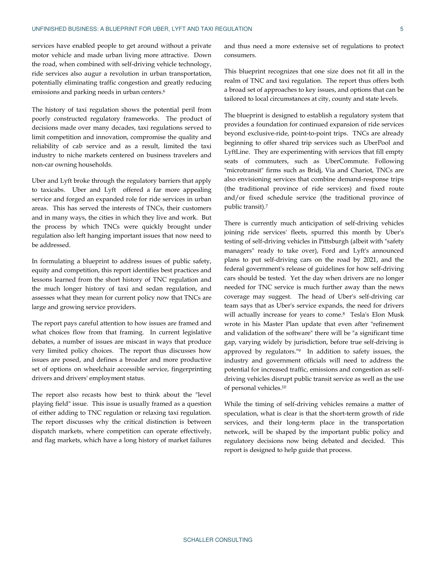services have enabled people to get around without a private motor vehicle and made urban living more attractive. Down the road, when combined with self-driving vehicle technology, ride services also augur a revolution in urban transportation, potentially eliminating traffic congestion and greatly reducing emissions and parking needs in urban centers.<sup>6</sup>

The history of taxi regulation shows the potential peril from poorly constructed regulatory frameworks. The product of decisions made over many decades, taxi regulations served to limit competition and innovation, compromise the quality and reliability of cab service and as a result, limited the taxi industry to niche markets centered on business travelers and non-car owning households.

Uber and Lyft broke through the regulatory barriers that apply to taxicabs. Uber and Lyft offered a far more appealing service and forged an expanded role for ride services in urban areas. This has served the interests of TNCs, their customers and in many ways, the cities in which they live and work. But the process by which TNCs were quickly brought under regulation also left hanging important issues that now need to be addressed.

In formulating a blueprint to address issues of public safety, equity and competition, this report identifies best practices and lessons learned from the short history of TNC regulation and the much longer history of taxi and sedan regulation, and assesses what they mean for current policy now that TNCs are large and growing service providers.

The report pays careful attention to how issues are framed and what choices flow from that framing. In current legislative debates, a number of issues are miscast in ways that produce very limited policy choices. The report thus discusses how issues are posed, and defines a broader and more productive set of options on wheelchair accessible service, fingerprinting drivers and drivers' employment status.

The report also recasts how best to think about the "level playing field" issue. This issue is usually framed as a question of either adding to TNC regulation or relaxing taxi regulation. The report discusses why the critical distinction is between dispatch markets, where competition can operate effectively, and flag markets, which have a long history of market failures

and thus need a more extensive set of regulations to protect consumers.

This blueprint recognizes that one size does not fit all in the realm of TNC and taxi regulation. The report thus offers both a broad set of approaches to key issues, and options that can be tailored to local circumstances at city, county and state levels.

The blueprint is designed to establish a regulatory system that provides a foundation for continued expansion of ride services beyond exclusive-ride, point-to-point trips. TNCs are already beginning to offer shared trip services such as UberPool and LyftLine. They are experimenting with services that fill empty seats of commuters, such as UberCommute. Following "microtransit" firms such as Bridj, Via and Chariot, TNCs are also envisioning services that combine demand-response trips (the traditional province of ride services) and fixed route and/or fixed schedule service (the traditional province of public transit).<sup>7</sup>

There is currently much anticipation of self-driving vehicles joining ride services' fleets, spurred this month by Uber's testing of self-driving vehicles in Pittsburgh (albeit with "safety managers" ready to take over), Ford and Lyft's announced plans to put self-driving cars on the road by 2021, and the federal government's release of guidelines for how self-driving cars should be tested. Yet the day when drivers are no longer needed for TNC service is much further away than the news coverage may suggest. The head of Uber's self-driving car team says that as Uber's service expands, the need for drivers will actually increase for years to come.8 Tesla's Elon Musk wrote in his Master Plan update that even after "refinement and validation of the software" there will be "a significant time gap, varying widely by jurisdiction, before true self-driving is approved by regulators."9 In addition to safety issues, the industry and government officials will need to address the potential for increased traffic, emissions and congestion as selfdriving vehicles disrupt public transit service as well as the use of personal vehicles.<sup>10</sup>

While the timing of self-driving vehicles remains a matter of speculation, what is clear is that the short-term growth of ride services, and their long-term place in the transportation network, will be shaped by the important public policy and regulatory decisions now being debated and decided. This report is designed to help guide that process.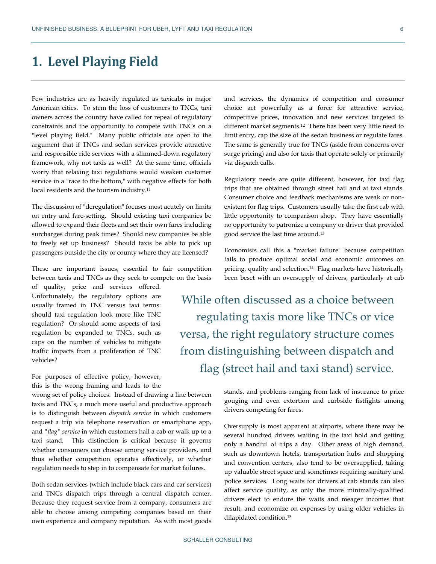# **1. Level Playing Field**

Few industries are as heavily regulated as taxicabs in major American cities. To stem the loss of customers to TNCs, taxi owners across the country have called for repeal of regulatory constraints and the opportunity to compete with TNCs on a "level playing field." Many public officials are open to the argument that if TNCs and sedan services provide attractive and responsible ride services with a slimmed-down regulatory framework, why not taxis as well? At the same time, officials worry that relaxing taxi regulations would weaken customer service in a "race to the bottom," with negative effects for both local residents and the tourism industry.<sup>11</sup>

The discussion of "deregulation" focuses most acutely on limits on entry and fare-setting. Should existing taxi companies be allowed to expand their fleets and set their own fares including surcharges during peak times? Should new companies be able to freely set up business? Should taxis be able to pick up passengers outside the city or county where they are licensed?

These are important issues, essential to fair competition between taxis and TNCs as they seek to compete on the basis

of quality, price and services offered. Unfortunately, the regulatory options are usually framed in TNC versus taxi terms: should taxi regulation look more like TNC regulation? Or should some aspects of taxi regulation be expanded to TNCs, such as caps on the number of vehicles to mitigate traffic impacts from a proliferation of TNC vehicles?

For purposes of effective policy, however, this is the wrong framing and leads to the

wrong set of policy choices. Instead of drawing a line between taxis and TNCs, a much more useful and productive approach is to distinguish between *dispatch service* in which customers request a trip via telephone reservation or smartphone app, and *"flag" service* in which customers hail a cab or walk up to a taxi stand. This distinction is critical because it governs whether consumers can choose among service providers, and thus whether competition operates effectively, or whether regulation needs to step in to compensate for market failures.

Both sedan services (which include black cars and car services) and TNCs dispatch trips through a central dispatch center. Because they request service from a company, consumers are able to choose among competing companies based on their own experience and company reputation. As with most goods

and services, the dynamics of competition and consumer choice act powerfully as a force for attractive service, competitive prices, innovation and new services targeted to different market segments.12 There has been very little need to limit entry, cap the size of the sedan business or regulate fares. The same is generally true for TNCs (aside from concerns over surge pricing) and also for taxis that operate solely or primarily via dispatch calls.

Regulatory needs are quite different, however, for taxi flag trips that are obtained through street hail and at taxi stands. Consumer choice and feedback mechanisms are weak or nonexistent for flag trips. Customers usually take the first cab with little opportunity to comparison shop. They have essentially no opportunity to patronize a company or driver that provided good service the last time around.<sup>13</sup>

Economists call this a "market failure" because competition fails to produce optimal social and economic outcomes on pricing, quality and selection.14 Flag markets have historically been beset with an oversupply of drivers, particularly at cab

While often discussed as a choice between regulating taxis more like TNCs or vice versa, the right regulatory structure comes from distinguishing between dispatch and flag (street hail and taxi stand) service.

> stands, and problems ranging from lack of insurance to price gouging and even extortion and curbside fistfights among drivers competing for fares.

> Oversupply is most apparent at airports, where there may be several hundred drivers waiting in the taxi hold and getting only a handful of trips a day. Other areas of high demand, such as downtown hotels, transportation hubs and shopping and convention centers, also tend to be oversupplied, taking up valuable street space and sometimes requiring sanitary and police services. Long waits for drivers at cab stands can also affect service quality, as only the more minimally-qualified drivers elect to endure the waits and meager incomes that result, and economize on expenses by using older vehicles in dilapidated condition.<sup>15</sup>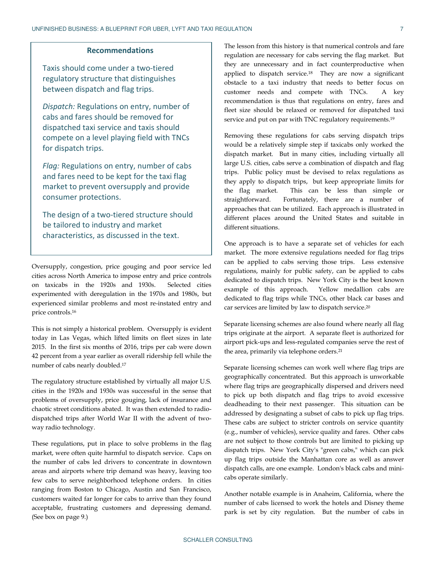#### **Recommendations**

Taxis should come under a two-tiered regulatory structure that distinguishes between dispatch and flag trips.

*Dispatch:* Regulations on entry, number of cabs and fares should be removed for dispatched taxi service and taxis should compete on a level playing field with TNCs for dispatch trips.

*Flag:* Regulations on entry, number of cabs and fares need to be kept for the taxi flag market to prevent oversupply and provide consumer protections.

The design of a two-tiered structure should be tailored to industry and market characteristics, as discussed in the text.

Oversupply, congestion, price gouging and poor service led cities across North America to impose entry and price controls on taxicabs in the 1920s and 1930s. Selected cities experimented with deregulation in the 1970s and 1980s, but experienced similar problems and most re-instated entry and price controls.<sup>16</sup>

This is not simply a historical problem. Oversupply is evident today in Las Vegas, which lifted limits on fleet sizes in late 2015. In the first six months of 2016, trips per cab were down 42 percent from a year earlier as overall ridership fell while the number of cabs nearly doubled.<sup>17</sup>

The regulatory structure established by virtually all major U.S. cities in the 1920s and 1930s was successful in the sense that problems of oversupply, price gouging, lack of insurance and chaotic street conditions abated. It was then extended to radiodispatched trips after World War II with the advent of twoway radio technology.

These regulations, put in place to solve problems in the flag market, were often quite harmful to dispatch service. Caps on the number of cabs led drivers to concentrate in downtown areas and airports where trip demand was heavy, leaving too few cabs to serve neighborhood telephone orders. In cities ranging from Boston to Chicago, Austin and San Francisco, customers waited far longer for cabs to arrive than they found acceptable, frustrating customers and depressing demand. (See box on page 9.)

The lesson from this history is that numerical controls and fare regulation are necessary for cabs serving the flag market. But they are unnecessary and in fact counterproductive when applied to dispatch service.18 They are now a significant obstacle to a taxi industry that needs to better focus on customer needs and compete with TNCs. A key recommendation is thus that regulations on entry, fares and fleet size should be relaxed or removed for dispatched taxi service and put on par with TNC regulatory requirements.<sup>19</sup>

Removing these regulations for cabs serving dispatch trips would be a relatively simple step if taxicabs only worked the dispatch market. But in many cities, including virtually all large U.S. cities, cabs serve a combination of dispatch and flag trips. Public policy must be devised to relax regulations as they apply to dispatch trips, but keep appropriate limits for the flag market. This can be less than simple or straightforward. Fortunately, there are a number of approaches that can be utilized. Each approach is illustrated in different places around the United States and suitable in different situations.

One approach is to have a separate set of vehicles for each market. The more extensive regulations needed for flag trips can be applied to cabs serving those trips. Less extensive regulations, mainly for public safety, can be applied to cabs dedicated to dispatch trips. New York City is the best known example of this approach. Yellow medallion cabs are dedicated to flag trips while TNCs, other black car bases and car services are limited by law to dispatch service. 20

Separate licensing schemes are also found where nearly all flag trips originate at the airport. A separate fleet is authorized for airport pick-ups and less-regulated companies serve the rest of the area, primarily via telephone orders.<sup>21</sup>

Separate licensing schemes can work well where flag trips are geographically concentrated. But this approach is unworkable where flag trips are geographically dispersed and drivers need to pick up both dispatch and flag trips to avoid excessive deadheading to their next passenger. This situation can be addressed by designating a subset of cabs to pick up flag trips. These cabs are subject to stricter controls on service quantity (e.g., number of vehicles), service quality and fares. Other cabs are not subject to those controls but are limited to picking up dispatch trips. New York City's "green cabs," which can pick up flag trips outside the Manhattan core as well as answer dispatch calls, are one example. London's black cabs and minicabs operate similarly.

Another notable example is in Anaheim, California, where the number of cabs licensed to work the hotels and Disney theme park is set by city regulation. But the number of cabs in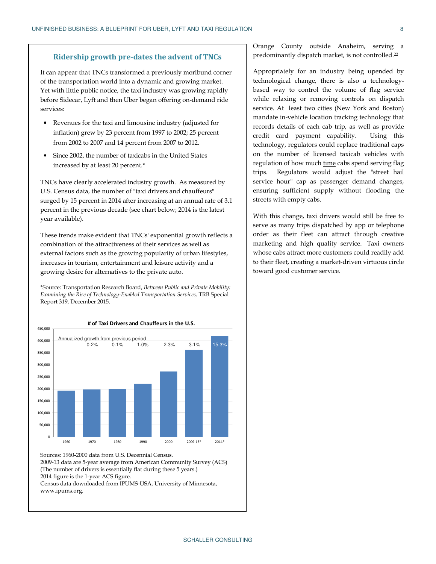#### **Ridership growth pre-dates the advent of TNCs**

It can appear that TNCs transformed a previously moribund corner of the transportation world into a dynamic and growing market. Yet with little public notice, the taxi industry was growing rapidly before Sidecar, Lyft and then Uber began offering on-demand ride services:

- Revenues for the taxi and limousine industry (adjusted for inflation) grew by 23 percent from 1997 to 2002; 25 percent from 2002 to 2007 and 14 percent from 2007 to 2012.
- Since 2002, the number of taxicabs in the United States increased by at least 20 percent.\*

TNCs have clearly accelerated industry growth. As measured by U.S. Census data, the number of "taxi drivers and chauffeurs" surged by 15 percent in 2014 after increasing at an annual rate of 3.1 percent in the previous decade (see chart below; 2014 is the latest year available).

These trends make evident that TNCs' exponential growth reflects a combination of the attractiveness of their services as well as external factors such as the growing popularity of urban lifestyles, increases in tourism, entertainment and leisure activity and a growing desire for alternatives to the private auto.

 0.2% 0.1% 1.0% 2.3% 3.1% 15% \*Source: Transportation Research Board, *Between Public and Private Mobility: Examining the Rise of Technology-Enabled Transportation Services,* TRB Special Report 319, December 2015.



Sources: 1960-2000 data from U.S. Decennial Census. 2009-13 data are 5-year average from American Community Survey (ACS) (The number of drivers is essentially flat during these 5 years.) 2014 figure is the 1-year ACS figure. Census data downloaded from IPUMS-USA, University of Minnesota,

www.ipums.org.

Orange County outside Anaheim, serving a predominantly dispatch market, is not controlled.<sup>22</sup>

Appropriately for an industry being upended by technological change, there is also a technologybased way to control the volume of flag service while relaxing or removing controls on dispatch service. At least two cities (New York and Boston) mandate in-vehicle location tracking technology that records details of each cab trip, as well as provide credit card payment capability. Using this technology, regulators could replace traditional caps on the number of licensed taxicab vehicles with regulation of how much time cabs spend serving flag trips. Regulators would adjust the "street hail service hour" cap as passenger demand changes, ensuring sufficient supply without flooding the streets with empty cabs.

With this change, taxi drivers would still be free to serve as many trips dispatched by app or telephone order as their fleet can attract through creative marketing and high quality service. Taxi owners whose cabs attract more customers could readily add to their fleet, creating a market-driven virtuous circle toward good customer service.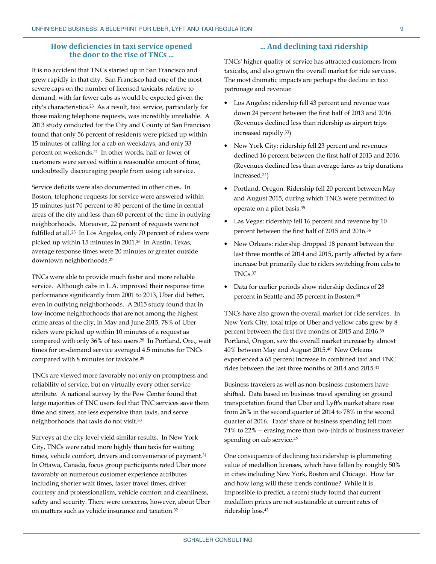#### **How deficiencies in taxi service opened the door to the rise of TNCs ...**

It is no accident that TNCs started up in San Francisco and grew rapidly in that city. San Francisco had one of the most severe caps on the number of licensed taxicabs relative to demand, with far fewer cabs as would be expected given the city's characteristics.23 As a result, taxi service, particularly for those making telephone requests, was incredibly unreliable. A 2013 study conducted for the City and County of San Francisco found that only 56 percent of residents were picked up within 15 minutes of calling for a cab on weekdays, and only 33 percent on weekends.24 In other words, half or fewer of customers were served within a reasonable amount of time, undoubtedly discouraging people from using cab service.

Service deficits were also documented in other cities. In Boston, telephone requests for service were answered within 15 minutes just 70 percent to 80 percent of the time in central areas of the city and less than 60 percent of the time in outlying neighborhoods. Moreover, 22 percent of requests were not fulfilled at all.25 In Los Angeles, only 70 percent of riders were picked up within 15 minutes in 2001.26 In Austin, Texas, average response times were 20 minutes or greater outside downtown neighborhoods.<sup>27</sup>

TNCs were able to provide much faster and more reliable service. Although cabs in L.A. improved their response time performance significantly from 2001 to 2013, Uber did better, even in outlying neighborhoods. A 2015 study found that in low-income neighborhoods that are not among the highest crime areas of the city, in May and June 2015, 78% of Uber riders were picked up within 10 minutes of a request as compared with only 36% of taxi users.28 In Portland, Ore., wait times for on-demand service averaged 4.5 minutes for TNCs compared with 8 minutes for taxicabs.<sup>29</sup>

TNCs are viewed more favorably not only on promptness and reliability of service, but on virtually every other service attribute. A national survey by the Pew Center found that large majorities of TNC users feel that TNC services save them time and stress, are less expensive than taxis, and serve neighborhoods that taxis do not visit.<sup>30</sup>

Surveys at the city level yield similar results. In New York City, TNCs were rated more highly than taxis for waiting times, vehicle comfort, drivers and convenience of payment.<sup>31</sup> In Ottawa, Canada, focus group participants rated Uber more favorably on numerous customer experience attributes including shorter wait times, faster travel times, driver courtesy and professionalism, vehicle comfort and cleanliness, safety and security. There were concerns, however, about Uber on matters such as vehicle insurance and taxation.<sup>32</sup>

#### **... And declining taxi ridership**

TNCs' higher quality of service has attracted customers from taxicabs, and also grown the overall market for ride services. The most dramatic impacts are perhaps the decline in taxi patronage and revenue:

- Los Angeles: ridership fell 43 percent and revenue was down 24 percent between the first half of 2013 and 2016. (Revenues declined less than ridership as airport trips increased rapidly.33)
- New York City: ridership fell 23 percent and revenues declined 16 percent between the first half of 2013 and 2016. (Revenues declined less than average fares as trip durations increased.34)
- Portland, Oregon: Ridership fell 20 percent between May and August 2015, during which TNCs were permitted to operate on a pilot basis.<sup>35</sup>
- Las Vegas: ridership fell 16 percent and revenue by 10 percent between the first half of 2015 and 2016.<sup>36</sup>
- New Orleans: ridership dropped 18 percent between the last three months of 2014 and 2015, partly affected by a fare increase but primarily due to riders switching from cabs to TNCs.<sup>37</sup>
- Data for earlier periods show ridership declines of 28 percent in Seattle and 35 percent in Boston.<sup>38</sup>

TNCs have also grown the overall market for ride services. In New York City, total trips of Uber and yellow cabs grew by 8 percent between the first five months of 2015 and 2016.<sup>39</sup> Portland, Oregon, saw the overall market increase by almost 40% between May and August 2015.40 New Orleans experienced a 65 percent increase in combined taxi and TNC rides between the last three months of 2014 and 2015.<sup>41</sup>

Business travelers as well as non-business customers have shifted. Data based on business travel spending on ground transportation found that Uber and Lyft's market share rose from 26% in the second quarter of 2014 to 78% in the second quarter of 2016. Taxis' share of business spending fell from 74% to 22% -- erasing more than two-thirds of business traveler spending on cab service.<sup>42</sup>

One consequence of declining taxi ridership is plummeting value of medallion licenses, which have fallen by roughly 50% in cities including New York, Boston and Chicago. How far and how long will these trends continue? While it is impossible to predict, a recent study found that current medallion prices are not sustainable at current rates of ridership loss.43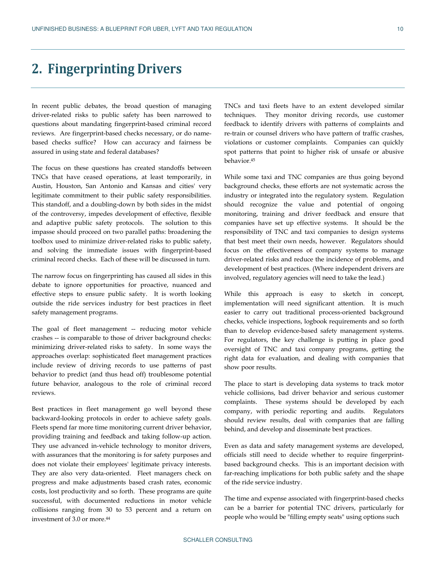# **2. Fingerprinting Drivers**

In recent public debates, the broad question of managing driver-related risks to public safety has been narrowed to questions about mandating fingerprint-based criminal record reviews. Are fingerprint-based checks necessary, or do namebased checks suffice? How can accuracy and fairness be assured in using state and federal databases?

The focus on these questions has created standoffs between TNCs that have ceased operations, at least temporarily, in Austin, Houston, San Antonio and Kansas and cities' very legitimate commitment to their public safety responsibilities. This standoff, and a doubling-down by both sides in the midst of the controversy, impedes development of effective, flexible and adaptive public safety protocols. The solution to this impasse should proceed on two parallel paths: broadening the toolbox used to minimize driver-related risks to public safety, and solving the immediate issues with fingerprint-based criminal record checks. Each of these will be discussed in turn.

The narrow focus on fingerprinting has caused all sides in this debate to ignore opportunities for proactive, nuanced and effective steps to ensure public safety. It is worth looking outside the ride services industry for best practices in fleet safety management programs.

The goal of fleet management -- reducing motor vehicle crashes -- is comparable to those of driver background checks: minimizing driver-related risks to safety. In some ways the approaches overlap: sophisticated fleet management practices include review of driving records to use patterns of past behavior to predict (and thus head off) troublesome potential future behavior, analogous to the role of criminal record reviews.

Best practices in fleet management go well beyond these backward-looking protocols in order to achieve safety goals. Fleets spend far more time monitoring current driver behavior, providing training and feedback and taking follow-up action. They use advanced in-vehicle technology to monitor drivers, with assurances that the monitoring is for safety purposes and does not violate their employees' legitimate privacy interests. They are also very data-oriented. Fleet managers check on progress and make adjustments based crash rates, economic costs, lost productivity and so forth. These programs are quite successful, with documented reductions in motor vehicle collisions ranging from 30 to 53 percent and a return on investment of 3.0 or more.<sup>44</sup>

TNCs and taxi fleets have to an extent developed similar techniques. They monitor driving records, use customer feedback to identify drivers with patterns of complaints and re-train or counsel drivers who have pattern of traffic crashes, violations or customer complaints. Companies can quickly spot patterns that point to higher risk of unsafe or abusive behavior.<sup>45</sup>

While some taxi and TNC companies are thus going beyond background checks, these efforts are not systematic across the industry or integrated into the regulatory system. Regulation should recognize the value and potential of ongoing monitoring, training and driver feedback and ensure that companies have set up effective systems. It should be the responsibility of TNC and taxi companies to design systems that best meet their own needs, however. Regulators should focus on the effectiveness of company systems to manage driver-related risks and reduce the incidence of problems, and development of best practices. (Where independent drivers are involved, regulatory agencies will need to take the lead.)

While this approach is easy to sketch in concept, implementation will need significant attention. It is much easier to carry out traditional process-oriented background checks, vehicle inspections, logbook requirements and so forth than to develop evidence-based safety management systems. For regulators, the key challenge is putting in place good oversight of TNC and taxi company programs, getting the right data for evaluation, and dealing with companies that show poor results.

The place to start is developing data systems to track motor vehicle collisions, bad driver behavior and serious customer complaints. These systems should be developed by each company, with periodic reporting and audits. Regulators should review results, deal with companies that are falling behind, and develop and disseminate best practices.

Even as data and safety management systems are developed, officials still need to decide whether to require fingerprintbased background checks. This is an important decision with far-reaching implications for both public safety and the shape of the ride service industry.

The time and expense associated with fingerprint-based checks can be a barrier for potential TNC drivers, particularly for people who would be "filling empty seats" using options such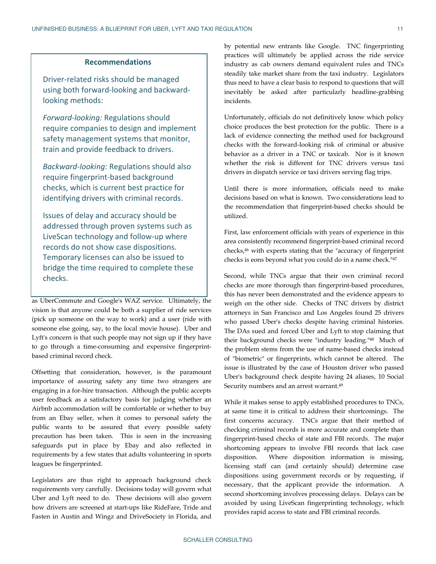#### **Recommendations**

Driver-related risks should be managed using both forward-looking and backwardlooking methods:

*Forward-looking:* Regulations should require companies to design and implement safety management systems that monitor, train and provide feedback to drivers.

*Backward-looking:* Regulations should also require fingerprint-based background checks, which is current best practice for identifying drivers with criminal records.

Issues of delay and accuracy should be addressed through proven systems such as LiveScan technology and follow-up where records do not show case dispositions. Temporary licenses can also be issued to bridge the time required to complete these checks.

as UberCommute and Google's WAZ service. Ultimately, the vision is that anyone could be both a supplier of ride services (pick up someone on the way to work) and a user (ride with someone else going, say, to the local movie house). Uber and Lyft's concern is that such people may not sign up if they have to go through a time-consuming and expensive fingerprintbased criminal record check.

Offsetting that consideration, however, is the paramount importance of assuring safety any time two strangers are engaging in a for-hire transaction. Although the public accepts user feedback as a satisfactory basis for judging whether an Airbnb accommodation will be comfortable or whether to buy from an Ebay seller, when it comes to personal safety the public wants to be assured that every possible safety precaution has been taken. This is seen in the increasing safeguards put in place by Ebay and also reflected in requirements by a few states that adults volunteering in sports leagues be fingerprinted.

Legislators are thus right to approach background check requirements very carefully. Decisions today will govern what Uber and Lyft need to do. These decisions will also govern how drivers are screened at start-ups like RideFare, Tride and Fasten in Austin and Wingz and DriveSociety in Florida, and

by potential new entrants like Google. TNC fingerprinting practices will ultimately be applied across the ride service industry as cab owners demand equivalent rules and TNCs steadily take market share from the taxi industry. Legislators thus need to have a clear basis to respond to questions that will inevitably be asked after particularly headline-grabbing incidents.

Unfortunately, officials do not definitively know which policy choice produces the best protection for the public. There is a lack of evidence connecting the method used for background checks with the forward-looking risk of criminal or abusive behavior as a driver in a TNC or taxicab. Nor is it known whether the risk is different for TNC drivers versus taxi drivers in dispatch service or taxi drivers serving flag trips.

Until there is more information, officials need to make decisions based on what is known. Two considerations lead to the recommendation that fingerprint-based checks should be utilized.

First, law enforcement officials with years of experience in this area consistently recommend fingerprint-based criminal record checks,46 with experts stating that the "accuracy of fingerprint checks is eons beyond what you could do in a name check."<sup>47</sup>

Second, while TNCs argue that their own criminal record checks are more thorough than fingerprint-based procedures, this has never been demonstrated and the evidence appears to weigh on the other side. Checks of TNC drivers by district attorneys in San Francisco and Los Angeles found 25 drivers who passed Uber's checks despite having criminal histories. The DAs sued and forced Uber and Lyft to stop claiming that their background checks were "industry leading."48 Much of the problem stems from the use of name-based checks instead of "biometric" or fingerprints, which cannot be altered. The issue is illustrated by the case of Houston driver who passed Uber's background check despite having 24 aliases, 10 Social Security numbers and an arrest warrant.<sup>49</sup>

While it makes sense to apply established procedures to TNCs, at same time it is critical to address their shortcomings. The first concerns accuracy. TNCs argue that their method of checking criminal records is more accurate and complete than fingerprint-based checks of state and FBI records. The major shortcoming appears to involve FBI records that lack case disposition. Where disposition information is missing, licensing staff can (and certainly should) determine case dispositions using government records or by requesting, if necessary, that the applicant provide the information. A second shortcoming involves processing delays. Delays can be avoided by using LiveScan fingerprinting technology, which provides rapid access to state and FBI criminal records.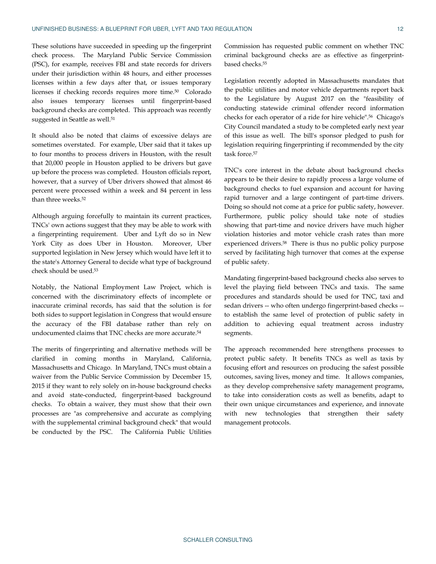These solutions have succeeded in speeding up the fingerprint check process. The Maryland Public Service Commission (PSC), for example, receives FBI and state records for drivers under their jurisdiction within 48 hours, and either processes licenses within a few days after that, or issues temporary licenses if checking records requires more time.50 Colorado also issues temporary licenses until fingerprint-based background checks are completed. This approach was recently suggested in Seattle as well.<sup>51</sup>

It should also be noted that claims of excessive delays are sometimes overstated. For example, Uber said that it takes up to four months to process drivers in Houston, with the result that 20,000 people in Houston applied to be drivers but gave up before the process was completed. Houston officials report, however, that a survey of Uber drivers showed that almost 46 percent were processed within a week and 84 percent in less than three weeks.<sup>52</sup>

Although arguing forcefully to maintain its current practices, TNCs' own actions suggest that they may be able to work with a fingerprinting requirement. Uber and Lyft do so in New York City as does Uber in Houston. Moreover, Uber supported legislation in New Jersey which would have left it to the state's Attorney General to decide what type of background check should be used.<sup>53</sup>

Notably, the National Employment Law Project, which is concerned with the discriminatory effects of incomplete or inaccurate criminal records, has said that the solution is for both sides to support legislation in Congress that would ensure the accuracy of the FBI database rather than rely on undocumented claims that TNC checks are more accurate.<sup>54</sup>

The merits of fingerprinting and alternative methods will be clarified in coming months in Maryland, California, Massachusetts and Chicago. In Maryland, TNCs must obtain a waiver from the Public Service Commission by December 15, 2015 if they want to rely solely on in-house background checks and avoid state-conducted, fingerprint-based background checks. To obtain a waiver, they must show that their own processes are "as comprehensive and accurate as complying with the supplemental criminal background check" that would be conducted by the PSC. The California Public Utilities

Commission has requested public comment on whether TNC criminal background checks are as effective as fingerprintbased checks.<sup>55</sup>

Legislation recently adopted in Massachusetts mandates that the public utilities and motor vehicle departments report back to the Legislature by August 2017 on the "feasibility of conducting statewide criminal offender record information checks for each operator of a ride for hire vehicle".56 Chicago's City Council mandated a study to be completed early next year of this issue as well. The bill's sponsor pledged to push for legislation requiring fingerprinting if recommended by the city task force.<sup>57</sup>

TNC's core interest in the debate about background checks appears to be their desire to rapidly process a large volume of background checks to fuel expansion and account for having rapid turnover and a large contingent of part-time drivers. Doing so should not come at a price for public safety, however. Furthermore, public policy should take note of studies showing that part-time and novice drivers have much higher violation histories and motor vehicle crash rates than more experienced drivers.58 There is thus no public policy purpose served by facilitating high turnover that comes at the expense of public safety.

Mandating fingerprint-based background checks also serves to level the playing field between TNCs and taxis. The same procedures and standards should be used for TNC, taxi and sedan drivers -- who often undergo fingerprint-based checks - to establish the same level of protection of public safety in addition to achieving equal treatment across industry segments.

The approach recommended here strengthens processes to protect public safety. It benefits TNCs as well as taxis by focusing effort and resources on producing the safest possible outcomes, saving lives, money and time. It allows companies, as they develop comprehensive safety management programs, to take into consideration costs as well as benefits, adapt to their own unique circumstances and experience, and innovate with new technologies that strengthen their safety management protocols.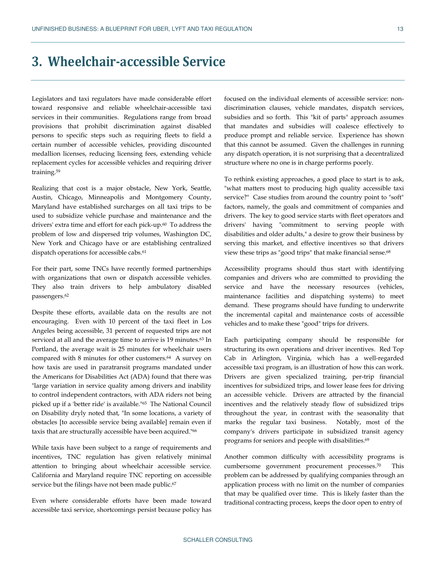# **3. Wheelchair-accessible Service**

Legislators and taxi regulators have made considerable effort toward responsive and reliable wheelchair-accessible taxi services in their communities. Regulations range from broad provisions that prohibit discrimination against disabled persons to specific steps such as requiring fleets to field a certain number of accessible vehicles, providing discounted medallion licenses, reducing licensing fees, extending vehicle replacement cycles for accessible vehicles and requiring driver training.<sup>59</sup>

Realizing that cost is a major obstacle, New York, Seattle, Austin, Chicago, Minneapolis and Montgomery County, Maryland have established surcharges on all taxi trips to be used to subsidize vehicle purchase and maintenance and the drivers' extra time and effort for each pick-up.<sup>60</sup> To address the problem of low and dispersed trip volumes, Washington DC, New York and Chicago have or are establishing centralized dispatch operations for accessible cabs.<sup>61</sup>

For their part, some TNCs have recently formed partnerships with organizations that own or dispatch accessible vehicles. They also train drivers to help ambulatory disabled passengers.<sup>62</sup>

Despite these efforts, available data on the results are not encouraging. Even with 10 percent of the taxi fleet in Los Angeles being accessible, 31 percent of requested trips are not serviced at all and the average time to arrive is 19 minutes.<sup>63</sup> In Portland, the average wait is 25 minutes for wheelchair users compared with 8 minutes for other customers.64 A survey on how taxis are used in paratransit programs mandated under the Americans for Disabilities Act (ADA) found that there was "large variation in service quality among drivers and inability to control independent contractors, with ADA riders not being picked up if a 'better ride' is available."65 The National Council on Disability dryly noted that, "In some locations, a variety of obstacles [to accessible service being available] remain even if taxis that are structurally accessible have been acquired."<sup>66</sup>

While taxis have been subject to a range of requirements and incentives, TNC regulation has given relatively minimal attention to bringing about wheelchair accessible service. California and Maryland require TNC reporting on accessible service but the filings have not been made public.<sup>67</sup>

Even where considerable efforts have been made toward accessible taxi service, shortcomings persist because policy has focused on the individual elements of accessible service: nondiscrimination clauses, vehicle mandates, dispatch services, subsidies and so forth. This "kit of parts" approach assumes that mandates and subsidies will coalesce effectively to produce prompt and reliable service. Experience has shown that this cannot be assumed. Given the challenges in running any dispatch operation, it is not surprising that a decentralized structure where no one is in charge performs poorly.

To rethink existing approaches, a good place to start is to ask, "what matters most to producing high quality accessible taxi service?" Case studies from around the country point to "soft" factors, namely, the goals and commitment of companies and drivers. The key to good service starts with fleet operators and drivers' having "commitment to serving people with disabilities and older adults," a desire to grow their business by serving this market, and effective incentives so that drivers view these trips as "good trips" that make financial sense.<sup>68</sup>

Accessibility programs should thus start with identifying companies and drivers who are committed to providing the service and have the necessary resources (vehicles, maintenance facilities and dispatching systems) to meet demand. These programs should have funding to underwrite the incremental capital and maintenance costs of accessible vehicles and to make these "good" trips for drivers.

Each participating company should be responsible for structuring its own operations and driver incentives. Red Top Cab in Arlington, Virginia, which has a well-regarded accessible taxi program, is an illustration of how this can work. Drivers are given specialized training, per-trip financial incentives for subsidized trips, and lower lease fees for driving an accessible vehicle. Drivers are attracted by the financial incentives and the relatively steady flow of subsidized trips throughout the year, in contrast with the seasonality that marks the regular taxi business. Notably, most of the company's drivers participate in subsidized transit agency programs for seniors and people with disabilities.<sup>69</sup>

Another common difficulty with accessibility programs is cumbersome government procurement processes.70 This problem can be addressed by qualifying companies through an application process with no limit on the number of companies that may be qualified over time. This is likely faster than the traditional contracting process, keeps the door open to entry of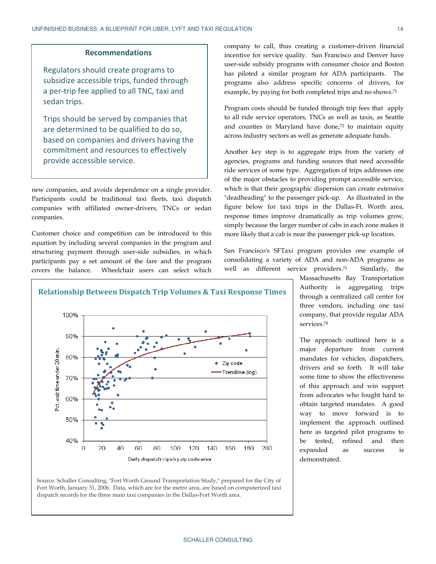#### **Recommendations**

Regulators should create programs to subsidize accessible trips, funded through a per-trip fee applied to all TNC, taxi and sedan trips. subsidize accessible trips, funded throug<br>a per-trip fee applied to all TNC, taxi and<br>sedan trips.<br>Trips should be served by companies tha<br>are determined to be qualified to do so,<br>based on companies and drivers having t

Trips should be served by companies that are determined to be qualified to do so, based on companies and drivers having the commitment and resources to effectively provide accessible service.

new companies, and avoids dependence on a single provider. Participants could be traditional taxi fleets, taxi dispatch companies with affiliated owner-drivers, TNCs or sedan companies. med avoids dependence on a single provider.<br>
1 be traditional taxi fleets, taxi dispatch<br>
affiliated owner-drivers, TNCs or sedan<br>
and competition can be introduced to this<br>
ding several companies in the program and<br>
ent t

Customer choice and competition can be introduced to this equation by including several companies in the program and structuring payment through user-side subsidies participants pay a set amount of the fare and the program covers the balance. Wheelchair users can select which

incentive for service quality. San Francisco Francisco and Denver have user-side subsidy programs with consumer choice and Boston has piloted a similar program for ADA participants. The programs also address specific concerns of drivers, for programs also address specific concerns of drivers, f<br>example, by paying for both completed trips and no shows.<sup>71</sup> company to call, thus creating a customer-driven financial

Program costs should be funded through trip fees that apply Program costs should be funded through trip fees that apply<br>to all ride service operators, TNCs as well as taxis, as Seattle and counties in Maryland have done,<sup>72</sup> to maintain equity across industry sectors as well as generate adequate funds. across industry sectors as well as generate adequate funds.<br>Another key step is to aggregate trips from the variety of

**Example 19** company to call, thus creating a customer<br>
incentive for service quality. San Francisco and through<br>
applied to all TNC, taxi and<br>
programs subseted a similar programs with consumer c<br>
applied to all TNC, taxi agencies, programs and funding sources that need accessible ride services of some type. Aggregation of trips addresses one of the major obstacles to providing prompt accessible service, which is that their geographic dispersion can create extensive "deadheading" to the passenger pick-up. As illustrated in the figure below for taxi trips in the Dallas-Ft. Worth area, response times improve dramatically as trip volumes grow, simply because the larger number of cabs in each zone makes it simply because the larger number of cabs in each zone makes<br>more likely that a cab is near the passenger pick-up location.

San Francisco's SFTaxi program provides one example of consolidating a variety of ADA and non-ADA programs as well as different service providers.<sup>73</sup> Similarly, the



Source: Schaller Consulting, "Fort Worth Ground Transportation Study," prepared for the City of Fort Worth, January 31, 2006. Data, which are for the metro area, are based on computerized taxi Fort Worth, January 31, 2006. Data, which are for the metro area, are based on coı<br>dispatch records for the three main taxi companies in the Dallas-Fort Worth area.

Massachusetts Bay Transportation Authority Authority is aggregating trips through a centralized call center for three vendors vendors, including one taxi company, company, that provide regular ADA services.<sup>74</sup>

The approach outlined here is a major departure from current mandates for vehicles, dispatchers, drivers and so forth. It will take some time to show the effectiveness of this approach and win sup support from advocates who fought hard to obtain targeted mandates. A good way to move forward is to implement the approach outlined here as targeted pilot programs to be tested, refined and then expanded as success is demonstrated. dispatchers,<br>It will take<br>effectiveness from advocates who fought hard to<br>obtain targeted mandates. A good<br>way to move forward is to<br>implement the approach outlined<br>here as targeted pilot programs to<br>be tested, refined and then<br>expanded as success is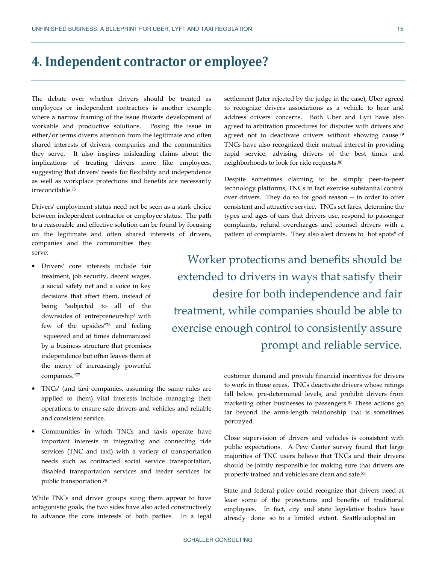# **4. Independent contractor or employee?**

The debate over whether drivers should be treated as employees or independent contractors is another example where a narrow framing of the issue thwarts development of workable and productive solutions. Posing the issue in either/or terms diverts attention from the legitimate and often shared interests of drivers, companies and the communities they serve. It also inspires misleading claims about the implications of treating drivers more like employees, suggesting that drivers' needs for flexibility and independence as well as workplace protections and benefits are necessarily irreconcilable.<sup>75</sup>

Drivers' employment status need not be seen as a stark choice between independent contractor or employee status. The path to a reasonable and effective solution can be found by focusing on the legitimate and often shared interests of drivers, companies and the communities they serve:

- Drivers' core interests include fair treatment, job security, decent wages, a social safety net and a voice in key decisions that affect them, instead of being "subjected to all of the downsides of 'entrepreneurship' with few of the upsides"76 and feeling "squeezed and at times dehumanized by a business structure that promises independence but often leaves them at the mercy of increasingly powerful companies."<sup>77</sup>
- TNCs' (and taxi companies, assuming the same rules are applied to them) vital interests include managing their operations to ensure safe drivers and vehicles and reliable and consistent service.
- Communities in which TNCs and taxis operate have important interests in integrating and connecting ride services (TNC and taxi) with a variety of transportation needs such as contracted social service transportation, disabled transportation services and feeder services for public transportation.<sup>78</sup>

While TNCs and driver groups suing them appear to have antagonistic goals, the two sides have also acted constructively to advance the core interests of both parties. In a legal

settlement (later rejected by the judge in the case), Uber agreed to recognize drivers associations as a vehicle to hear and address drivers' concerns. Both Uber and Lyft have also agreed to arbitration procedures for disputes with drivers and agreed not to deactivate drivers without showing cause.<sup>79</sup> TNCs have also recognized their mutual interest in providing rapid service, advising drivers of the best times and neighborhoods to look for ride requests.<sup>80</sup>

Despite sometimes claiming to be simply peer-to-peer technology platforms, TNCs in fact exercise substantial control over drivers. They do so for good reason -- in order to offer consistent and attractive service. TNCs set fares, determine the types and ages of cars that drivers use, respond to passenger complaints, refund overcharges and counsel drivers with a pattern of complaints. They also alert drivers to "hot spots" of

Worker protections and benefits should be extended to drivers in ways that satisfy their desire for both independence and fair treatment, while companies should be able to exercise enough control to consistently assure prompt and reliable service.

> customer demand and provide financial incentives for drivers to work in those areas. TNCs deactivate drivers whose ratings fall below pre-determined levels, and prohibit drivers from marketing other businesses to passengers.81 These actions go far beyond the arms-length relationship that is sometimes portrayed.

> Close supervision of drivers and vehicles is consistent with public expectations. A Pew Center survey found that large majorities of TNC users believe that TNCs and their drivers should be jointly responsible for making sure that drivers are properly trained and vehicles are clean and safe.<sup>82</sup>

> State and federal policy could recognize that drivers need at least some of the protections and benefits of traditional employees. In fact, city and state legislative bodies have already done so to a limited extent. Seattle adopted an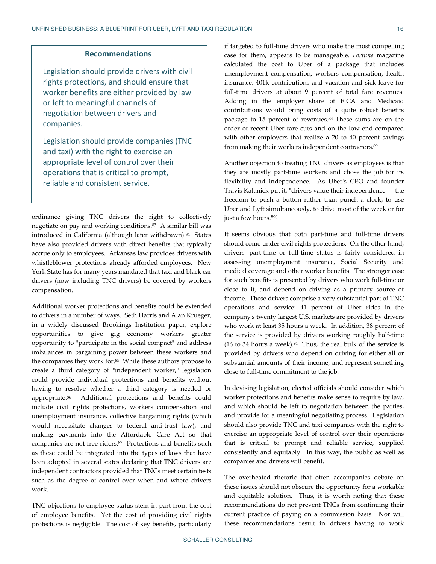#### **Recommendations**

Legislation should provide drivers with civil rights protections, and should ensure that worker benefits are either provided by law or left to meaningful channels of negotiation between drivers and companies.

Legislation should provide companies (TNC and taxi) with the right to exercise an appropriate level of control over their operations that is critical to prompt, reliable and consistent service.

ordinance giving TNC drivers the right to collectively negotiate on pay and working conditions.83 A similar bill was introduced in California (although later withdrawn). <sup>84</sup> States have also provided drivers with direct benefits that typically accrue only to employees. Arkansas law provides drivers with whistleblower protections already afforded employees. New York State has for many years mandated that taxi and black car drivers (now including TNC drivers) be covered by workers compensation.

Additional worker protections and benefits could be extended to drivers in a number of ways. Seth Harris and Alan Krueger, in a widely discussed Brookings Institution paper, explore opportunities to give gig economy workers greater opportunity to "participate in the social compact" and address imbalances in bargaining power between these workers and the companies they work for.<sup>85</sup> While these authors propose to create a third category of "independent worker," legislation could provide individual protections and benefits without having to resolve whether a third category is needed or appropriate.86 Additional protections and benefits could include civil rights protections, workers compensation and unemployment insurance, collective bargaining rights (which would necessitate changes to federal anti-trust law), and making payments into the Affordable Care Act so that companies are not free riders.87 Protections and benefits such as these could be integrated into the types of laws that have been adopted in several states declaring that TNC drivers are independent contractors provided that TNCs meet certain tests such as the degree of control over when and where drivers work.

TNC objections to employee status stem in part from the cost of employee benefits. Yet the cost of providing civil rights protections is negligible. The cost of key benefits, particularly

if targeted to full-time drivers who make the most compelling case for them, appears to be manageable. *Fortune* magazine calculated the cost to Uber of a package that includes unemployment compensation, workers compensation, health insurance, 401k contributions and vacation and sick leave for full-time drivers at about 9 percent of total fare revenues. Adding in the employer share of FICA and Medicaid contributions would bring costs of a quite robust benefits package to 15 percent of revenues.88 These sums are on the order of recent Uber fare cuts and on the low end compared with other employers that realize a 20 to 40 percent savings from making their workers independent contractors.<sup>89</sup>

Another objection to treating TNC drivers as employees is that they are mostly part-time workers and chose the job for its flexibility and independence. As Uber's CEO and founder Travis Kalanick put it, "drivers value their independence — the freedom to push a button rather than punch a clock, to use Uber and Lyft simultaneously, to drive most of the week or for just a few hours."<sup>90</sup>

It seems obvious that both part-time and full-time drivers should come under civil rights protections. On the other hand, drivers' part-time or full-time status is fairly considered in assessing unemployment insurance, Social Security and medical coverage and other worker benefits. The stronger case for such benefits is presented by drivers who work full-time or close to it, and depend on driving as a primary source of income. These drivers comprise a very substantial part of TNC operations and service: 41 percent of Uber rides in the company's twenty largest U.S. markets are provided by drivers who work at least 35 hours a week. In addition, 38 percent of the service is provided by drivers working roughly half-time (16 to 34 hours a week). $91$  Thus, the real bulk of the service is provided by drivers who depend on driving for either all or substantial amounts of their income, and represent something close to full-time commitment to the job.

In devising legislation, elected officials should consider which worker protections and benefits make sense to require by law, and which should be left to negotiation between the parties, and provide for a meaningful negotiating process. Legislation should also provide TNC and taxi companies with the right to exercise an appropriate level of control over their operations that is critical to prompt and reliable service, supplied consistently and equitably. In this way, the public as well as companies and drivers will benefit.

The overheated rhetoric that often accompanies debate on these issues should not obscure the opportunity for a workable and equitable solution. Thus, it is worth noting that these recommendations do not prevent TNCs from continuing their current practice of paying on a commission basis. Nor will these recommendations result in drivers having to work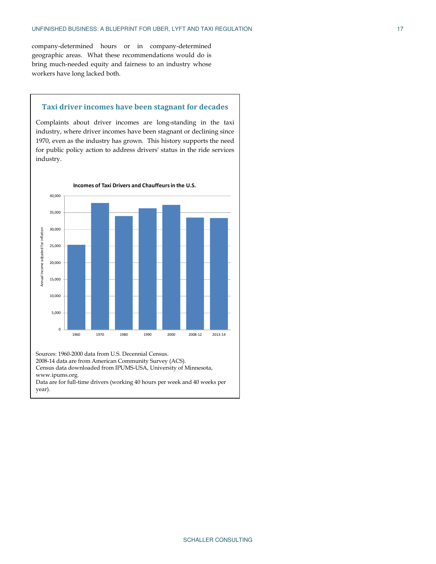company-determined hours or in company-determined geographic areas. What these recommendations would do is bring much-needed equity and fairness to an industry whose workers have long lacked both.

#### **Taxi driver incomes have been stagnant for decades**

Complaints about driver incomes are long-standing in the taxi industry, where driver incomes have been stagnant or declining since 1970, even as the industry has grown. This history supports the need for public policy action to address drivers' status in the ride services industry.



Sources: 1960-2000 data from U.S. Decennial Census.

2008-14 data are from American Community Survey (ACS).

Census data downloaded from IPUMS-USA, University of Minnesota, www.ipums.org.

Data are for full-time drivers (working 40 hours per week and 40 weeks per year).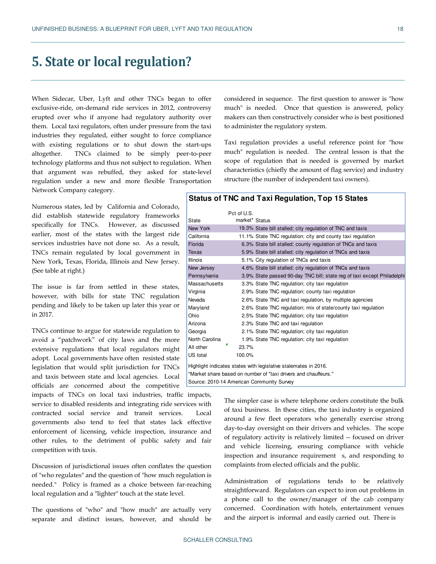### **5. State or local regulation?**

When Sidecar, Uber, Lyft and other TNCs began to offer exclusive-ride, on-demand ride services in 2012, controversy erupted over who if anyone had regulatory authority over them. Local taxi regulators, often under pressure from the taxi industries they regulated, either sought to force compliance with existing regulations or to shut down the start-ups altogether. TNCs claimed to be simply peer-to-peer technology platforms and thus not subject to regulation. When that argument was rebuffed, they asked for state-level regulation under a new and more flexible Transportation Network Company category.

Numerous states, led by California and Colorado, did establish statewide regulatory frameworks specifically for TNCs. However, as discussed earlier, most of the states with the largest ride services industries have not done so. As a result, TNCs remain regulated by local government in New York, Texas, Florida, Illinois and New Jersey. (See table at right.)

The issue is far from settled in these states, however, with bills for state TNC regulation pending and likely to be taken up later this year or in 2017.

TNCs continue to argue for statewide regulation to avoid a "patchwork" of city laws and the more extensive regulations that local regulators might adopt. Local governments have often resisted state legislation that would split jurisdiction for TNCs and taxis between state and local agencies. Local officials are concerned about the competitive

impacts of TNCs on local taxi industries, traffic impacts, service to disabled residents and integrating ride services with contracted social service and transit services. Local governments also tend to feel that states lack effective enforcement of licensing, vehicle inspection, insurance and other rules, to the detriment of public safety and fair competition with taxis.

Discussion of jurisdictional issues often conflates the question of "who regulates" and the question of "how much regulation is needed." Policy is framed as a choice between far-reaching local regulation and a "lighter" touch at the state level.

The questions of "who" and "how much" are actually very separate and distinct issues, however, and should be

considered in sequence. The first question to answer is "how much" is needed. Once that question is answered, policy makers can then constructively consider who is best positioned to administer the regulatory system.

Taxi regulation provides a useful reference point for "how much" regulation is needed. The central lesson is that the scope of regulation that is needed is governed by market characteristics (chiefly the amount of flag service) and industry structure (the number of independent taxi owners).

#### **Status of TNC and Taxi Regulation, Top 15 States**

|                                                                 | Pct of U.S.                               |                                                                         |  |  |  |
|-----------------------------------------------------------------|-------------------------------------------|-------------------------------------------------------------------------|--|--|--|
| <b>State</b>                                                    | market* Status                            |                                                                         |  |  |  |
| <b>New York</b>                                                 |                                           | 19.3% State bill stalled; city regulation of TNC and taxis              |  |  |  |
| California                                                      |                                           | 11.1% State TNC regulation; city and county taxi regulation             |  |  |  |
| Florida                                                         |                                           | 6.3% State bill stalled; county regulation of TNCs and taxis            |  |  |  |
| <b>Texas</b>                                                    |                                           | 5.9% State bill stalled; city regulation of TNCs and taxis              |  |  |  |
| <b>Illinois</b>                                                 |                                           | 5.1% City regulation of TNCs and taxis                                  |  |  |  |
| New Jersey                                                      |                                           | 4.6% State bill stalled; city regulation of TNCs and taxis              |  |  |  |
| Pennsylvania                                                    |                                           | 3.9% State passed 90-day TNC bill; state reg of taxi except Philadelphi |  |  |  |
| Massachusetts                                                   |                                           | 3.3% State TNC regulation; city taxi regulation                         |  |  |  |
| Virginia                                                        |                                           | 2.9% State TNC regulation; county taxi regulation                       |  |  |  |
| Nevada                                                          |                                           | 2.6% State TNC and taxi regulation, by multiple agencies                |  |  |  |
| Maryland                                                        |                                           | 2.6% State TNC regulation; mix of state/county taxi regulation          |  |  |  |
| Ohio                                                            |                                           | 2.5% State TNC regulation; city taxi regulation                         |  |  |  |
| Arizona                                                         |                                           | 2.3% State TNC and taxi regulation                                      |  |  |  |
| Georgia                                                         |                                           | 2.1% State TNC regulation; city taxi regulation                         |  |  |  |
| North Carolina                                                  |                                           | 1.9% State TNC regulation; city taxi regulation                         |  |  |  |
| All other                                                       | 23.7%                                     |                                                                         |  |  |  |
| US total                                                        | 100.0%                                    |                                                                         |  |  |  |
| Highlight indicates states with legislative stalemates in 2016. |                                           |                                                                         |  |  |  |
| *Market share based on number of "taxi drivers and chauffeurs." |                                           |                                                                         |  |  |  |
|                                                                 | Source: 2010-14 American Community Survey |                                                                         |  |  |  |

The simpler case is where telephone orders constitute the bulk of taxi business. In these cities, the taxi industry is organized around a few fleet operators who generally exercise strong day-to-day oversight on their drivers and vehicles. The scope of regulatory activity is relatively limited -- focused on driver and vehicle licensing, ensuring compliance with vehicle inspection and insurance requirement s, and responding to complaints from elected officials and the public.

Administration of regulations tends to be relatively straightforward. Regulators can expect to iron out problems in a phone call to the owner/manager of the cab company concerned. Coordination with hotels, entertainment venues and the airport is informal and easily carried out. There is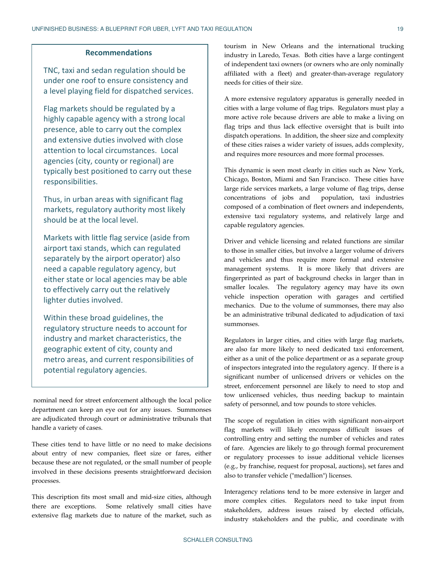#### **Recommendations**

TNC, taxi and sedan regulation should be under one roof to ensure consistency and a level playing field for dispatched services.

Flag markets should be regulated by a highly capable agency with a strong local presence, able to carry out the complex and extensive duties involved with close attention to local circumstances. Local agencies (city, county or regional) are typically best positioned to carry out these responsibilities.

Thus, in urban areas with significant flag markets, regulatory authority most likely should be at the local level.

Markets with little flag service (aside from airport taxi stands, which can regulated separately by the airport operator) also need a capable regulatory agency, but either state or local agencies may be able to effectively carry out the relatively lighter duties involved.

Within these broad guidelines, the regulatory structure needs to account for industry and market characteristics, the geographic extent of city, county and metro areas, and current responsibilities of potential regulatory agencies.

 nominal need for street enforcement although the local police department can keep an eye out for any issues. Summonses are adjudicated through court or administrative tribunals that handle a variety of cases.

These cities tend to have little or no need to make decisions about entry of new companies, fleet size or fares, either because these are not regulated, or the small number of people involved in these decisions presents straightforward decision processes.

This description fits most small and mid-size cities, although there are exceptions. Some relatively small cities have extensive flag markets due to nature of the market, such as

tourism in New Orleans and the international trucking industry in Laredo, Texas. Both cities have a large contingent of independent taxi owners (or owners who are only nominally affiliated with a fleet) and greater-than-average regulatory needs for cities of their size.

A more extensive regulatory apparatus is generally needed in cities with a large volume of flag trips. Regulators must play a more active role because drivers are able to make a living on flag trips and thus lack effective oversight that is built into dispatch operations. In addition, the sheer size and complexity of these cities raises a wider variety of issues, adds complexity, and requires more resources and more formal processes.

This dynamic is seen most clearly in cities such as New York, Chicago, Boston, Miami and San Francisco. These cities have large ride services markets, a large volume of flag trips, dense concentrations of jobs and population, taxi industries composed of a combination of fleet owners and independents, extensive taxi regulatory systems, and relatively large and capable regulatory agencies.

Driver and vehicle licensing and related functions are similar to those in smaller cities, but involve a larger volume of drivers and vehicles and thus require more formal and extensive management systems. It is more likely that drivers are fingerprinted as part of background checks in larger than in smaller locales. The regulatory agency may have its own vehicle inspection operation with garages and certified mechanics. Due to the volume of summonses, there may also be an administrative tribunal dedicated to adjudication of taxi summonses.

Regulators in larger cities, and cities with large flag markets, are also far more likely to need dedicated taxi enforcement, either as a unit of the police department or as a separate group of inspectors integrated into the regulatory agency. If there is a significant number of unlicensed drivers or vehicles on the street, enforcement personnel are likely to need to stop and tow unlicensed vehicles, thus needing backup to maintain safety of personnel, and tow pounds to store vehicles.

The scope of regulation in cities with significant non-airport flag markets will likely encompass difficult issues of controlling entry and setting the number of vehicles and rates of fare. Agencies are likely to go through formal procurement or regulatory processes to issue additional vehicle licenses (e.g., by franchise, request for proposal, auctions), set fares and also to transfer vehicle ("medallion") licenses.

Interagency relations tend to be more extensive in larger and more complex cities. Regulators need to take input from stakeholders, address issues raised by elected officials, industry stakeholders and the public, and coordinate with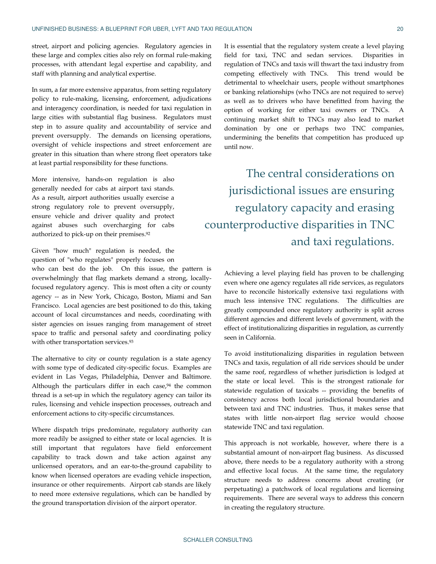street, airport and policing agencies. Regulatory agencies in these large and complex cities also rely on formal rule-making processes, with attendant legal expertise and capability, and staff with planning and analytical expertise.

In sum, a far more extensive apparatus, from setting regulatory policy to rule-making, licensing, enforcement, adjudications and interagency coordination, is needed for taxi regulation in large cities with substantial flag business. Regulators must step in to assure quality and accountability of service and prevent oversupply. The demands on licensing operations, oversight of vehicle inspections and street enforcement are greater in this situation than where strong fleet operators take at least partial responsibility for these functions.

More intensive, hands-on regulation is also generally needed for cabs at airport taxi stands. As a result, airport authorities usually exercise a strong regulatory role to prevent oversupply, ensure vehicle and driver quality and protect against abuses such overcharging for cabs authorized to pick-up on their premises.<sup>92</sup>

Given "how much" regulation is needed, the question of "who regulates" properly focuses on

who can best do the job. On this issue, the pattern is overwhelmingly that flag markets demand a strong, locallyfocused regulatory agency. This is most often a city or county agency -- as in New York, Chicago, Boston, Miami and San Francisco. Local agencies are best positioned to do this, taking account of local circumstances and needs, coordinating with sister agencies on issues ranging from management of street space to traffic and personal safety and coordinating policy with other transportation services.<sup>93</sup>

The alternative to city or county regulation is a state agency with some type of dedicated city-specific focus. Examples are evident in Las Vegas, Philadelphia, Denver and Baltimore. Although the particulars differ in each case, $94$  the common thread is a set-up in which the regulatory agency can tailor its rules, licensing and vehicle inspection processes, outreach and enforcement actions to city-specific circumstances.

Where dispatch trips predominate, regulatory authority can more readily be assigned to either state or local agencies. It is still important that regulators have field enforcement capability to track down and take action against any unlicensed operators, and an ear-to-the-ground capability to know when licensed operators are evading vehicle inspection, insurance or other requirements. Airport cab stands are likely to need more extensive regulations, which can be handled by the ground transportation division of the airport operator.

It is essential that the regulatory system create a level playing field for taxi, TNC and sedan services. Disparities in regulation of TNCs and taxis will thwart the taxi industry from competing effectively with TNCs. This trend would be detrimental to wheelchair users, people without smartphones or banking relationships (who TNCs are not required to serve) as well as to drivers who have benefitted from having the option of working for either taxi owners or TNCs. A continuing market shift to TNCs may also lead to market domination by one or perhaps two TNC companies, undermining the benefits that competition has produced up until now.

The central considerations on jurisdictional issues are ensuring regulatory capacity and erasing counterproductive disparities in TNC and taxi regulations.

> Achieving a level playing field has proven to be challenging even where one agency regulates all ride services, as regulators have to reconcile historically extensive taxi regulations with much less intensive TNC regulations. The difficulties are greatly compounded once regulatory authority is split across different agencies and different levels of government, with the effect of institutionalizing disparities in regulation, as currently seen in California.

> To avoid institutionalizing disparities in regulation between TNCs and taxis, regulation of all ride services should be under the same roof, regardless of whether jurisdiction is lodged at the state or local level. This is the strongest rationale for statewide regulation of taxicabs -- providing the benefits of consistency across both local jurisdictional boundaries and between taxi and TNC industries. Thus, it makes sense that states with little non-airport flag service would choose statewide TNC and taxi regulation.

> This approach is not workable, however, where there is a substantial amount of non-airport flag business. As discussed above, there needs to be a regulatory authority with a strong and effective local focus. At the same time, the regulatory structure needs to address concerns about creating (or perpetuating) a patchwork of local regulations and licensing requirements. There are several ways to address this concern in creating the regulatory structure.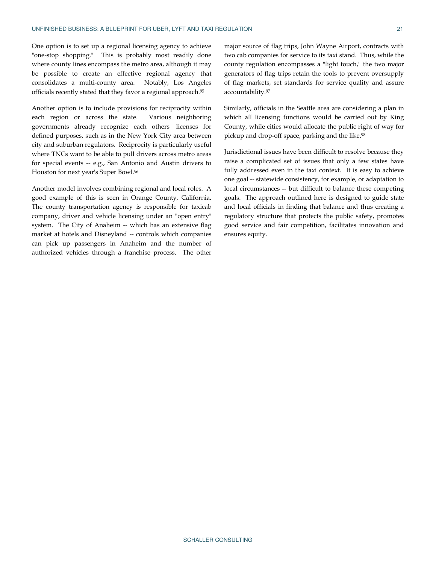One option is to set up a regional licensing agency to achieve "one-stop shopping." This is probably most readily done where county lines encompass the metro area, although it may be possible to create an effective regional agency that consolidates a multi-county area. Notably, Los Angeles officials recently stated that they favor a regional approach.<sup>95</sup>

Another option is to include provisions for reciprocity within each region or across the state. Various neighboring governments already recognize each others' licenses for defined purposes, such as in the New York City area between city and suburban regulators. Reciprocity is particularly useful where TNCs want to be able to pull drivers across metro areas for special events -- e.g., San Antonio and Austin drivers to Houston for next year's Super Bowl.<sup>96</sup>

Another model involves combining regional and local roles. A good example of this is seen in Orange County, California. The county transportation agency is responsible for taxicab company, driver and vehicle licensing under an "open entry" system. The City of Anaheim -- which has an extensive flag market at hotels and Disneyland -- controls which companies can pick up passengers in Anaheim and the number of authorized vehicles through a franchise process. The other

major source of flag trips, John Wayne Airport, contracts with two cab companies for service to its taxi stand. Thus, while the county regulation encompasses a "light touch," the two major generators of flag trips retain the tools to prevent oversupply of flag markets, set standards for service quality and assure accountability.<sup>97</sup>

Similarly, officials in the Seattle area are considering a plan in which all licensing functions would be carried out by King County, while cities would allocate the public right of way for pickup and drop-off space, parking and the like.<sup>98</sup>

Jurisdictional issues have been difficult to resolve because they raise a complicated set of issues that only a few states have fully addressed even in the taxi context. It is easy to achieve one goal -- statewide consistency, for example, or adaptation to local circumstances -- but difficult to balance these competing goals. The approach outlined here is designed to guide state and local officials in finding that balance and thus creating a regulatory structure that protects the public safety, promotes good service and fair competition, facilitates innovation and ensures equity.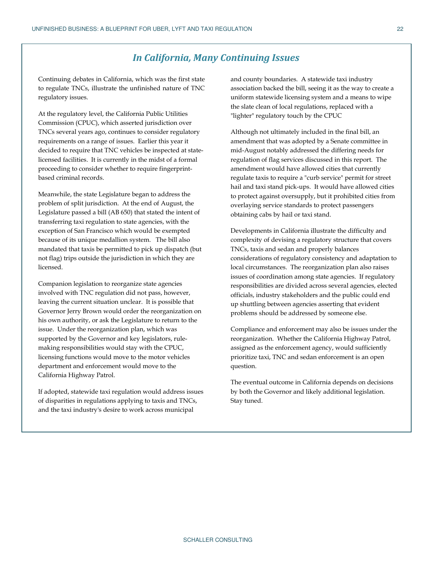### *In California, Many Continuing Issues*

Continuing debates in California, which was the first state to regulate TNCs, illustrate the unfinished nature of TNC regulatory issues.

At the regulatory level, the California Public Utilities Commission (CPUC), which asserted jurisdiction over TNCs several years ago, continues to consider regulatory requirements on a range of issues. Earlier this year it decided to require that TNC vehicles be inspected at statelicensed facilities. It is currently in the midst of a formal proceeding to consider whether to require fingerprintbased criminal records.

Meanwhile, the state Legislature began to address the problem of split jurisdiction. At the end of August, the Legislature passed a bill (AB 650) that stated the intent of transferring taxi regulation to state agencies, with the exception of San Francisco which would be exempted because of its unique medallion system. The bill also mandated that taxis be permitted to pick up dispatch (but not flag) trips outside the jurisdiction in which they are licensed.

Companion legislation to reorganize state agencies involved with TNC regulation did not pass, however, leaving the current situation unclear. It is possible that Governor Jerry Brown would order the reorganization on his own authority, or ask the Legislature to return to the issue. Under the reorganization plan, which was supported by the Governor and key legislators, rulemaking responsibilities would stay with the CPUC, licensing functions would move to the motor vehicles department and enforcement would move to the California Highway Patrol.

If adopted, statewide taxi regulation would address issues of disparities in regulations applying to taxis and TNCs, and the taxi industry's desire to work across municipal

and county boundaries. A statewide taxi industry association backed the bill, seeing it as the way to create a uniform statewide licensing system and a means to wipe the slate clean of local regulations, replaced with a "lighter" regulatory touch by the CPUC

Although not ultimately included in the final bill, an amendment that was adopted by a Senate committee in mid-August notably addressed the differing needs for regulation of flag services discussed in this report. The amendment would have allowed cities that currently regulate taxis to require a "curb service" permit for street hail and taxi stand pick-ups. It would have allowed cities to protect against oversupply, but it prohibited cities from overlaying service standards to protect passengers obtaining cabs by hail or taxi stand.

Developments in California illustrate the difficulty and complexity of devising a regulatory structure that covers TNCs, taxis and sedan and properly balances considerations of regulatory consistency and adaptation to local circumstances. The reorganization plan also raises issues of coordination among state agencies. If regulatory responsibilities are divided across several agencies, elected officials, industry stakeholders and the public could end up shuttling between agencies asserting that evident problems should be addressed by someone else.

Compliance and enforcement may also be issues under the reorganization. Whether the California Highway Patrol, assigned as the enforcement agency, would sufficiently prioritize taxi, TNC and sedan enforcement is an open question.

The eventual outcome in California depends on decisions by both the Governor and likely additional legislation. Stay tuned.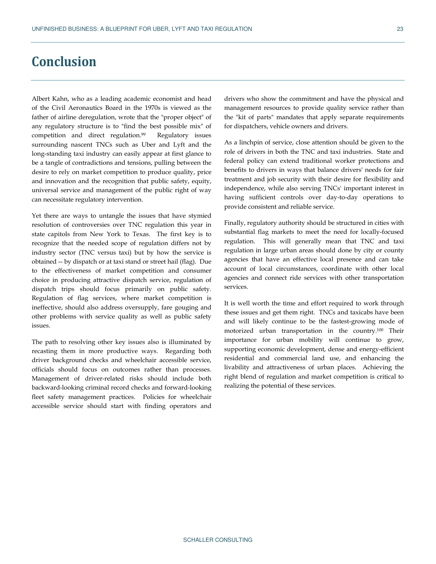### **Conclusion**

Albert Kahn, who as a leading academic economist and head of the Civil Aeronautics Board in the 1970s is viewed as the father of airline deregulation, wrote that the "proper object" of any regulatory structure is to "find the best possible mix" of competition and direct regulation.99 Regulatory issues surrounding nascent TNCs such as Uber and Lyft and the long-standing taxi industry can easily appear at first glance to be a tangle of contradictions and tensions, pulling between the desire to rely on market competition to produce quality, price and innovation and the recognition that public safety, equity, universal service and management of the public right of way can necessitate regulatory intervention.

Yet there are ways to untangle the issues that have stymied resolution of controversies over TNC regulation this year in state capitols from New York to Texas. The first key is to recognize that the needed scope of regulation differs not by industry sector (TNC versus taxi) but by how the service is obtained -- by dispatch or at taxi stand or street hail (flag). Due to the effectiveness of market competition and consumer choice in producing attractive dispatch service, regulation of dispatch trips should focus primarily on public safety. Regulation of flag services, where market competition is ineffective, should also address oversupply, fare gouging and other problems with service quality as well as public safety issues.

The path to resolving other key issues also is illuminated by recasting them in more productive ways. Regarding both driver background checks and wheelchair accessible service, officials should focus on outcomes rather than processes. Management of driver-related risks should include both backward-looking criminal record checks and forward-looking fleet safety management practices. Policies for wheelchair accessible service should start with finding operators and

drivers who show the commitment and have the physical and management resources to provide quality service rather than the "kit of parts" mandates that apply separate requirements for dispatchers, vehicle owners and drivers.

As a linchpin of service, close attention should be given to the role of drivers in both the TNC and taxi industries. State and federal policy can extend traditional worker protections and benefits to drivers in ways that balance drivers' needs for fair treatment and job security with their desire for flexibility and independence, while also serving TNCs' important interest in having sufficient controls over day-to-day operations to provide consistent and reliable service.

Finally, regulatory authority should be structured in cities with substantial flag markets to meet the need for locally-focused regulation. This will generally mean that TNC and taxi regulation in large urban areas should done by city or county agencies that have an effective local presence and can take account of local circumstances, coordinate with other local agencies and connect ride services with other transportation services.

It is well worth the time and effort required to work through these issues and get them right. TNCs and taxicabs have been and will likely continue to be the fastest-growing mode of motorized urban transportation in the country.100 Their importance for urban mobility will continue to grow, supporting economic development, dense and energy-efficient residential and commercial land use, and enhancing the livability and attractiveness of urban places. Achieving the right blend of regulation and market competition is critical to realizing the potential of these services.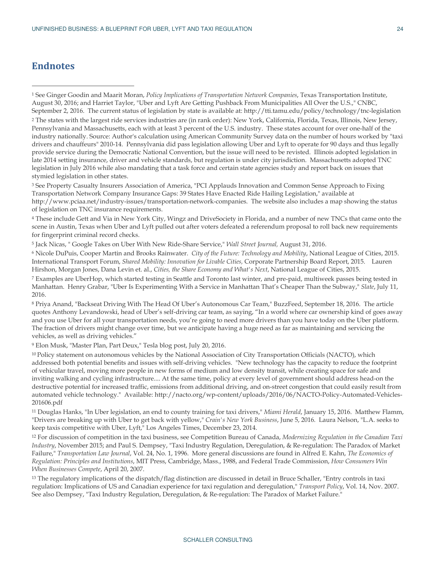### **Endnotes**

 $\overline{a}$ 

<sup>1</sup> See Ginger Goodin and Maarit Moran, *Policy Implications of Transportation Network Companies*, Texas Transportation Institute, August 30, 2016; and Harriet Taylor, "Uber and Lyft Are Getting Pushback From Municipalities All Over the U.S.," CNBC, September 2, 2016. The current status of legislation by state is available at: http://tti.tamu.edu/policy/technology/tnc-legislation <sup>2</sup> The states with the largest ride services industries are (in rank order): New York, California, Florida, Texas, Illinois, New Jersey, Pennsylvania and Massachusetts, each with at least 3 percent of the U.S. industry. These states account for over one-half of the industry nationally. Source: Author's calculation using American Community Survey data on the number of hours worked by "taxi drivers and chauffeurs" 2010-14. Pennsylvania did pass legislation allowing Uber and Lyft to operate for 90 days and thus legally provide service during the Democratic National Convention, but the issue will need to be revisted. Illinois adopted legislation in late 2014 setting insurance, driver and vehicle standards, but regulation is under city jurisdiction. Massachusetts adopted TNC legislation in July 2016 while also mandating that a task force and certain state agencies study and report back on issues that stymied legislation in other states.

<sup>3</sup> See Property Casualty Insurers Association of America, "PCI Applauds Innovation and Common Sense Approach to Fixing Transportation Network Company Insurance Gaps: 39 States Have Enacted Ride Hailing Legislation," available at http://www.pciaa.net/industry-issues/transportation-network-companies. The website also includes a map showing the status of legislation on TNC insurance requirements.

<sup>4</sup> These include Gett and Via in New York City, Wingz and DriveSociety in Florida, and a number of new TNCs that came onto the scene in Austin, Texas when Uber and Lyft pulled out after voters defeated a referendum proposal to roll back new requirements for fingerprint criminal record checks.

<sup>5</sup> Jack Nicas, " Google Takes on Uber With New Ride-Share Service," *Wall Street Journal,* August 31, 2016.

<sup>6</sup> Nicole DuPuis, Cooper Martin and Brooks Rainwater. *City of the Future: Technology and Mobility*, National League of Cities, 2015. International Transport Forum, *Shared Mobility: Innovation for Livable Cities,* Corporate Partnership Board Report, 2015. Lauren Hirshon, Morgan Jones, Dana Levin et. al., *Cities, the Share Economy and What's Next*, National League of Cities, 2015.

<sup>7</sup> Examples are UberHop, which started testing in Seattle and Toronto last winter, and pre-paid, multiweek passes being tested in Manhattan. Henry Grabar, "Uber Is Experimenting With a Service in Manhattan That's Cheaper Than the Subway," *Slate*, July 11, 2016.

<sup>8</sup> Priya Anand, "Backseat Driving With The Head Of Uber's Autonomous Car Team," BuzzFeed, September 18, 2016. The article quotes Anthony Levandowski, head of Uber's self-driving car team, as saying, "In a world where car ownership kind of goes away and you use Uber for all your transportation needs, you're going to need more drivers than you have today on the Uber platform. The fraction of drivers might change over time, but we anticipate having a huge need as far as maintaining and servicing the vehicles, as well as driving vehicles."

<sup>9</sup> Elon Musk, "Master Plan, Part Deux," Tesla blog post, July 20, 2016.

<sup>10</sup>Policy statement on autonomous vehicles by the National Association of City Transportation Officials (NACTO), which addressed both potential benefits and issues with self-driving vehicles. "New technology has the capacity to reduce the footprint of vehicular travel, moving more people in new forms of medium and low density transit, while creating space for safe and inviting walking and cycling infrastructure.... At the same time, policy at every level of government should address head-on the destructive potential for increased traffic, emissions from additional driving, and on-street congestion that could easily result from automated vehicle technology." Available: http://nacto.org/wp-content/uploads/2016/06/NACTO-Policy-Automated-Vehicles-201606.pdf

<sup>11</sup> Douglas Hanks, "In Uber legislation, an end to county training for taxi drivers," *Miami Herald*, January 15, 2016. Matthew Flamm, "Drivers are breaking up with Uber to get back with yellow," *Crain's New York Business*, June 5, 2016. Laura Nelson, "L.A. seeks to keep taxis competitive with Uber, Lyft," Los Angeles Times, December 23, 2014.

<sup>12</sup> For discussion of competition in the taxi business, see Competition Bureau of Canada, *Modernizing Regulation in the Canadian Taxi Industry*, November 2015; and Paul S. Dempsey, "Taxi Industry Regulation, Deregulation, & Re-regulation: The Paradox of Market Failure," *Transportation Law Journal*, Vol. 24, No. 1, 1996. More general discussions are found in Alfred E. Kahn, *The Economics of Regulation: Principles and Institutions*, MIT Press, Cambridge, Mass., 1988, and Federal Trade Commission, *How Consumers Win When Businesses Compete*, April 20, 2007.

<sup>13</sup> The regulatory implications of the dispatch/flag distinction are discussed in detail in Bruce Schaller, "Entry controls in taxi regulation: Implications of US and Canadian experience for taxi regulation and deregulation," *Transport Policy*, Vol. 14, Nov. 2007. See also Dempsey, "Taxi Industry Regulation, Deregulation, & Re-regulation: The Paradox of Market Failure."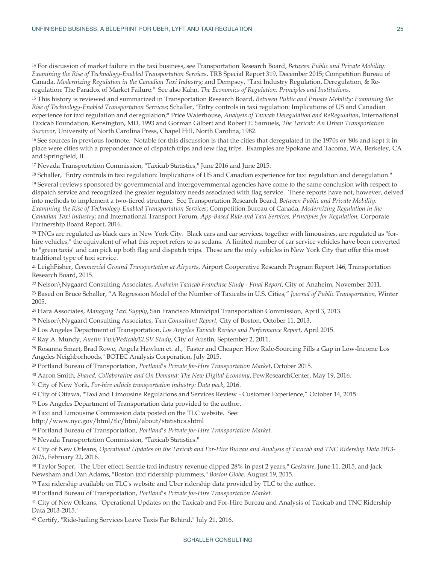$\overline{a}$ 

<sup>14</sup> For discussion of market failure in the taxi business, see Transportation Research Board, *Between Public and Private Mobility: Examining the Rise of Technology-Enabled Transportation Services*, TRB Special Report 319, December 2015; Competition Bureau of Canada, *Modernizing Regulation in the Canadian Taxi Industry*; and Dempsey, "Taxi Industry Regulation, Deregulation, & Reregulation: The Paradox of Market Failure." See also Kahn, *The Economics of Regulation: Principles and Institutions*.

<sup>15</sup> This history is reviewed and summarized in Transportation Research Board, *Between Public and Private Mobility: Examining the Rise of Technology-Enabled Transportation Services*; Schaller, "Entry controls in taxi regulation: Implications of US and Canadian experience for taxi regulation and deregulation;" Price Waterhouse, *Analysis of Taxicab Deregulation and ReRegulation*, International Taxicab Foundation, Kensington, MD, 1993 and Gorman Gilbert and Robert E. Samuels, *The Taxicab: An Urban Transportation Survivor,* University of North Carolina Press, Chapel Hill, North Carolina, 1982.

<sup>16</sup> See sources in previous footnote. Notable for this discussion is that the cities that deregulated in the 1970s or '80s and kept it in place were cities with a preponderance of dispatch trips and few flag trips. Examples are Spokane and Tacoma, WA, Berkeley, CA and Springfield, IL.

<sup>17</sup> Nevada Transportation Commission, "Taxicab Statistics," June 2016 and June 2015.

<sup>18</sup> Schaller, "Entry controls in taxi regulation: Implications of US and Canadian experience for taxi regulation and deregulation."

<sup>19</sup> Several reviews sponsored by governmental and intergovernmental agencies have come to the same conclusion with respect to dispatch service and recognized the greater regulatory needs associated with flag service. These reports have not, however, delved into methods to implement a two-tiered structure. See Transportation Research Board, *Between Public and Private Mobility: Examining the Rise of Technology-Enabled Transportation Services*; Competition Bureau of Canada, *Modernizing Regulation in the Canadian Taxi Industry*; and International Transport Forum, *App-Based Ride and Taxi Services, Principles for Regulation,* Corporate Partnership Board Report, 2016.

20 TNCs are regulated as black cars in New York City. Black cars and car services, together with limousines, are regulated as "forhire vehicles," the equivalent of what this report refers to as sedans. A limited number of car service vehicles have been converted to "green taxis" and can pick up both flag and dispatch trips. These are the only vehicles in New York City that offer this most traditional type of taxi service.

<sup>21</sup> LeighFisher, *Commercial Ground Transportation at Airports*, Airport Cooperative Research Program Report 146, Transportation Research Board, 2015.

<sup>22</sup> Nelson\Nygaard Consulting Associates, *Anaheim Taxicab Franchise Study - Final Report*, City of Anaheim, November 2011. <sup>23</sup> Based on Bruce Schaller, "A Regression Model of the Number of Taxicabs in U.S. Cities*," Journal of Public Transportation,* Winter 2005.

<sup>24</sup> Hara Associates, *Managing Taxi Supply*, San Francisco Municipal Transportation Commission, April 3, 2013.

<sup>25</sup> Nelson\Nygaard Consulting Associates, *Taxi Consultant Report*, City of Boston, October 11, 2013.

<sup>26</sup> Los Angeles Department of Transportation, *Los Angeles Taxicab Review and Performance Report*, April 2015.

<sup>27</sup> Ray A. Mundy, *Austin Taxi/Pedicab/ELSV Study*, City of Austin, September 2, 2011.

<sup>28</sup> Rosanna Smart, Brad Rowe, Angela Hawken et. al., "Faster and Cheaper: How Ride-Sourcing Fills a Gap in Low-Income Los Angeles Neighborhoods," BOTEC Analysis Corporation, July 2015.

<sup>29</sup> Portland Bureau of Transportation, *Portland's Private for-Hire Transportation Market*, October 2015.

<sup>30</sup> Aaron Smith, *Shared, Collaborative and On Demand: The New Digital Economy*, PewResearchCenter, May 19, 2016.

<sup>31</sup> City of New York, *For-hire vehicle transportation industry: Data pack*, 2016.

<sup>32</sup> City of Ottawa, "Taxi and Limousine Regulations and Services Review - Customer Experience," October 14, 2015

<sup>33</sup> Los Angeles Department of Transportation data provided to the author.

<sup>34</sup> Taxi and Limousine Commission data posted on the TLC website. See:

http://www.nyc.gov/html/tlc/html/about/statistics.shtml

<sup>35</sup> Portland Bureau of Transportation, *Portland's Private for-Hire Transportation Market.*

<sup>36</sup> Nevada Transportation Commission, "Taxicab Statistics."

<sup>37</sup> City of New Orleans, *Operational Updates on the Taxicab and For-Hire Bureau and Analysis of Taxicab and TNC Ridership Data 2013- 2015*, February 22, 2016.

<sup>38</sup> Taylor Soper, "The Uber effect: Seattle taxi industry revenue dipped 28% in past 2 years," *Geekwire*, June 11, 2015, and Jack Newsham and Dan Adams, "Boston taxi ridership plummets," *Boston Globe*, August 19, 2015.

<sup>39</sup> Taxi ridership available on TLC's website and Uber ridership data provided by TLC to the author.

<sup>40</sup> Portland Bureau of Transportation, *Portland's Private for-Hire Transportation Market.*

<sup>41</sup> City of New Orleans, "Operational Updates on the Taxicab and For-Hire Bureau and Analysis of Taxicab and TNC Ridership Data 2013-2015."

42 Certify, "Ride-hailing Services Leave Taxis Far Behind," July 21, 2016.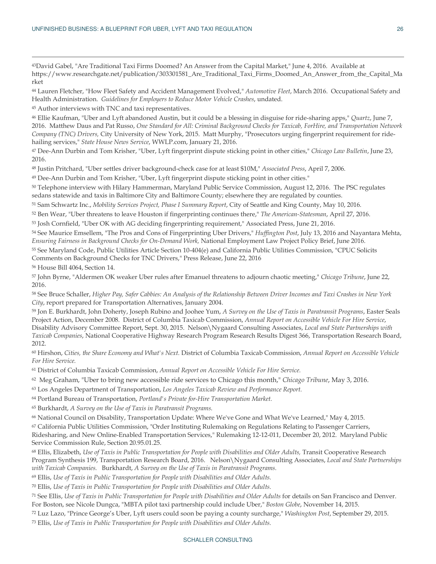<sup>43</sup>David Gabel, "Are Traditional Taxi Firms Doomed? An Answer from the Capital Market," June 4, 2016. Available at https://www.researchgate.net/publication/303301581\_Are\_Traditional\_Taxi\_Firms\_Doomed\_An\_Answer\_from\_the\_Capital\_Ma rket

<sup>44</sup> Lauren Fletcher, "How Fleet Safety and Accident Management Evolved," *Automotive Fleet*, March 2016. Occupational Safety and Health Administration. *Guidelines for Employers to Reduce Motor Vehicle Crashes*, undated.

<sup>45</sup> Author interviews with TNC and taxi representatives.

<sup>46</sup> Ellie Kaufman, "Uber and Lyft abandoned Austin, but it could be a blessing in disguise for ride-sharing apps," *Quartz*, June 7, 2016. Matthew Daus and Pat Russo, *One Standard for All: Criminal Background Checks for Taxicab, ForHire, and Transportation Network Company (TNC) Drivers,* City University of New York, 2015. Matt Murphy, "Prosecutors urging fingerprint requirement for ridehailing services," *State House News Service*, WWLP.com, January 21, 2016.

<sup>47</sup> Dee-Ann Durbin and Tom Krisher, "Uber, Lyft fingerprint dispute sticking point in other cities," *Chicago Law Bulletin*, June 23, 2016.

<sup>48</sup> Justin Pritchard, "Uber settles driver background-check case for at least \$10M," *Associated Press*, April 7, 2006.

<sup>49</sup> Dee-Ann Durbin and Tom Krisher, "Uber, Lyft fingerprint dispute sticking point in other cities."

<sup>50</sup> Telephone interview with Hilary Hammerman, Maryland Public Service Commission, August 12, 2016. The PSC regulates sedans statewide and taxis in Baltimore City and Baltimore County; elsewhere they are regulated by counties.

<sup>51</sup> Sam Schwartz Inc., *Mobility Services Project, Phase I Summary Report*, City of Seattle and King County, May 10, 2016.

<sup>52</sup> Ben Wear, "Uber threatens to leave Houston if fingerprinting continues there," *The American-Statesman*, April 27, 2016.

<sup>53</sup> Josh Cornfield, "Uber OK with AG deciding fingerprinting requirement," Associated Press, June 21, 2016.

<sup>54</sup> See Maurice Emsellem, "The Pros and Cons of Fingerprinting Uber Drivers," *Huffington Post*, July 13, 2016 and Nayantara Mehta, *Ensuring Fairness in Background Checks for On-Demand Work,* National Employment Law Project Policy Brief, June 2016.

<sup>55</sup> See Maryland Code, Public Utilities Article Section 10-404(e) and California Public Utilities Commission, "CPUC Solicits Comments on Background Checks for TNC Drivers," Press Release, June 22, 2016

<sup>56</sup> House Bill 4064, Section 14.

 $\overline{a}$ 

<sup>57</sup> John Byrne, "Aldermen OK weaker Uber rules after Emanuel threatens to adjourn chaotic meeting," *Chicago Tribune*, June 22, 2016.

<sup>58</sup> See Bruce Schaller, *Higher Pay, Safer Cabbies: An Analysis of the Relationship Between Driver Incomes and Taxi Crashes in New York City*, report prepared for Transportation Alternatives, January 2004.

<sup>59</sup> Jon E. Burkhardt, John Doherty, Joseph Rubino and Joohee Yum, *A Survey on the Use of Taxis in Paratransit Programs*, Easter Seals Project Action, December 2008. District of Columbia Taxicab Commission, *Annual Report on Accessible Vehicle For Hire Service*, Disability Advisory Committee Report, Sept. 30, 2015. Nelson\Nygaard Consulting Associates, *Local and State Partnerships with Taxicab Companies*, National Cooperative Highway Research Program Research Results Digest 366, Transportation Research Board, 2012.

<sup>60</sup> Hirshon, *Cities, the Share Economy and What's Next.* District of Columbia Taxicab Commission, *Annual Report on Accessible Vehicle For Hire Service.*

<sup>61</sup> District of Columbia Taxicab Commission, *Annual Report on Accessible Vehicle For Hire Service.*

<sup>62</sup> Meg Graham, "Uber to bring new accessible ride services to Chicago this month," *Chicago Tribune*, May 3, 2016.

<sup>63</sup> Los Angeles Department of Transportation, *Los Angeles Taxicab Review and Performance Report.*

<sup>64</sup> Portland Bureau of Transportation, *Portland's Private for-Hire Transportation Market.*

<sup>65</sup> Burkhardt, *A Survey on the Use of Taxis in Paratransit Programs.*

<sup>66</sup> National Council on Disability, Transportation Update: Where We've Gone and What We've Learned," May 4, 2015.

<sup>67</sup> California Public Utilities Commission, "Order Instituting Rulemaking on Regulations Relating to Passenger Carriers,

Ridesharing, and New Online-Enabled Transportation Services," Rulemaking 12-12-011, December 20, 2012. Maryland Public Service Commission Rule, Section 20.95.01.25.

<sup>68</sup> Ellis, Elizabeth, *Use of Taxis in Public Transportation for People with Disabilities and Older Adults,* Transit Cooperative Research Program Synthesis 199, Transportation Research Board, 2016. Nelson\Nygaard Consulting Associates, *Local and State Partnerships with Taxicab Companies.* Burkhardt, *A Survey on the Use of Taxis in Paratransit Programs.*

<sup>69</sup> Ellis, *Use of Taxis in Public Transportation for People with Disabilities and Older Adults.*

<sup>70</sup> Ellis, *Use of Taxis in Public Transportation for People with Disabilities and Older Adults.*

<sup>71</sup> See Ellis, *Use of Taxis in Public Transportation for People with Disabilities and Older Adults* for details on San Francisco and Denver. For Boston, see Nicole Dungca, "MBTA pilot taxi partnership could include Uber," *Boston Globe*, November 14, 2015.

<sup>72</sup> Luz Lazo, "Prince George's Uber, Lyft users could soon be paying a county surcharge," *Washington Post*, September 29, 2015. 73 Ellis, *Use of Taxis in Public Transportation for People with Disabilities and Older Adults.*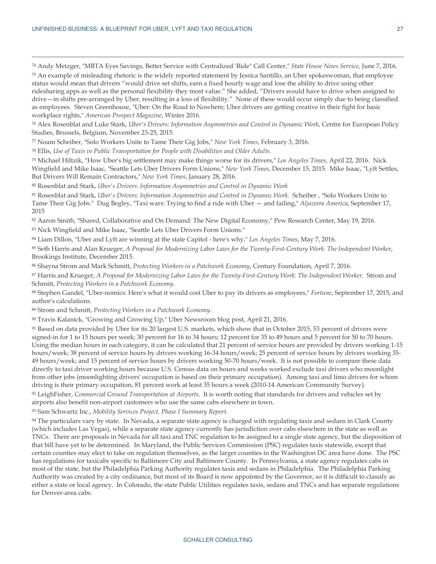$\overline{a}$ 

<sup>74</sup> Andy Metzger, "MBTA Eyes Savings, Better Service with Centralized 'Ride" Call Center," *State House News Service*, June 7, 2016. <sup>75</sup> An example of misleading rhetoric is the widely reported statement by Jessica Santillo, an Uber spokeswoman, that employee status would mean that drivers "would drive set shifts, earn a fixed hourly wage and lose the ability to drive using other ridesharing apps as well as the personal flexibility they most value." She added, "Drivers would have to drive when assigned to drive—in shifts pre-arranged by Uber, resulting in a loss of flexibility." None of these would occur simply due to being classified as employees. Steven Greenhouse, "Uber: On the Road to Nowhere; Uber drivers are getting creative in their fight for basic workplace rights," *American Prospect Magazine*, Winter 2016.

<sup>76</sup> Alex Rosenblat and Luke Stark, *Uber's Drivers: Information Asymmetries and Control in Dynamic Work*, Centre for European Policy Studies, Brussels, Belgium, November 23-25, 2015.

<sup>77</sup> Noam Scheiber, "Solo Workers Unite to Tame Their Gig Jobs," *New York Times*, February 3, 2016.

<sup>78</sup> Ellis, *Use of Taxis in Public Transportation for People with Disabilities and Older Adults.*

<sup>79</sup> Michael Hiltzik, "How Uber's big settlement may make things worse for its drivers," *Los Angeles Times*, April 22, 2016. Nick Wingfield and Mike Isaac, "Seattle Lets Uber Drivers Form Unions," *New York Times*, December 15, 2015. Mike Isaac, "Lyft Settles, But Drivers Will Remain Contractors," *New York Times*, January 28, 2016.

<sup>80</sup> Rosenblat and Stark, *Uber's Drivers: Information Asymmetries and Control in Dynamic Work*

<sup>81</sup> Rosenblat and Stark, *Uber's Drivers: Information Asymmetries and Control in Dynamic Work.* Scheiber , "Solo Workers Unite to Tame Their Gig Jobs." Dug Begley, "Taxi wars: Trying to find a ride with Uber — and failing," *Aljazeera America*, September 17, 2015

<sup>82</sup> Aaron Smith, "Shared, Collaborative and On Demand: The New Digital Economy," Pew Research Center, May 19, 2016. <sup>83</sup> Nick Wingfield and Mike Isaac, "Seattle Lets Uber Drivers Form Unions."

<sup>84</sup> Liam Dillon, "Uber and Lyft are winning at the state Capitol - here's why," *Los Angeles Times*, May 7, 2016.

<sup>85</sup> Seth Harris and Alan Krueger, *A Proposal for Modernizing Labor Laws for the Twenty-First-Century Work: The Independent Worker*, Brookings Institute, December 2015.

<sup>86</sup> Shayna Strom and Mark Schmitt, *Protecting Workers in a Patchwork Economy*, Century Foundation, April 7, 2016.

<sup>87</sup> Harris and Krueger, *A Proposal for Modernizing Labor Laws for the Twenty-First-Century Work: The Independent Worker.* Strom and Schmitt, *Protecting Workers in a Patchwork Economy.*

<sup>88</sup> Stephen Gandel, "Uber-nomics: Here's what it would cost Uber to pay its drivers as employees," *Fortune*, September 17, 2015, and author's calculations.

<sup>89</sup> Strom and Schmitt, *Protecting Workers in a Patchwork Economy.*

<sup>90</sup> Travis Kalanick, "Growing and Growing Up," Uber Newsroom blog post, April 21, 2016.

91 Based on data provided by Uber for its 20 largest U.S. markets, which show that in October 2015, 53 percent of drivers were signed-in for 1 to 15 hours per week; 30 percent for 16 to 34 hours; 12 percent for 35 to 49 hours and 5 percent for 50 to 70 hours. Using the median hours in each category, it can be calculated that 21 percent of service hours are provided by drivers working 1-15 hours/week; 38 percent of service hours by drivers working 16-34 hours/week; 25 percent of service hours by drivers working 35- 49 hours/week; and 15 percent of service hours by drivers working 50-70 hours/week. It is not possible to compare these data directly to taxi driver working hours because U.S. Census data on hours and weeks worked exclude taxi drivers who moonlight from other jobs (moonlighting drivers' occupation is based on their primary occupation). Among taxi and limo drivers for whom driving is their primary occupation, 81 percent work at least 35 hours a week (2010-14 American Community Survey). <sup>92</sup> LeighFisher, *Commercial Ground Transportation at Airports*. It is worth noting that standards for drivers and vehicles set by

airports also benefit non-airport customers who use the same cabs elsewhere in town.

<sup>93</sup> Sam Schwartz Inc., *Mobility Services Project, Phase I Summary Report.*

94 The particulars vary by state. In Nevada, a separate state agency is charged with regulating taxis and sedans in Clark County (which includes Las Vegas), while a separate state agency currently has jurisdiction over cabs elsewhere in the state as well as TNCs. There are proposals in Nevada for all taxi and TNC regulation to be assigned to a single state agency, but the disposition of that bill have yet to be determined. In Maryland, the Public Services Commission (PSC) regulates taxis statewide, except that certain counties may elect to take on regulation themselves, as the larger counties in the Washington DC area have done. The PSC has regulations for taxicabs specific to Baltimore City and Baltimore County. In Pennsylvania, a state agency regulates cabs in most of the state, but the Philadelphia Parking Authority regulates taxis and sedans in Philadelphia. The Philadelphia Parking Authority was created by a city ordinance, but most of its Board is now appointed by the Governor, so it is difficult to classify as either a state or local agency. In Colorado, the state Public Utilities regulates taxis, sedans and TNCs and has separate regulations for Denver-area cabs.